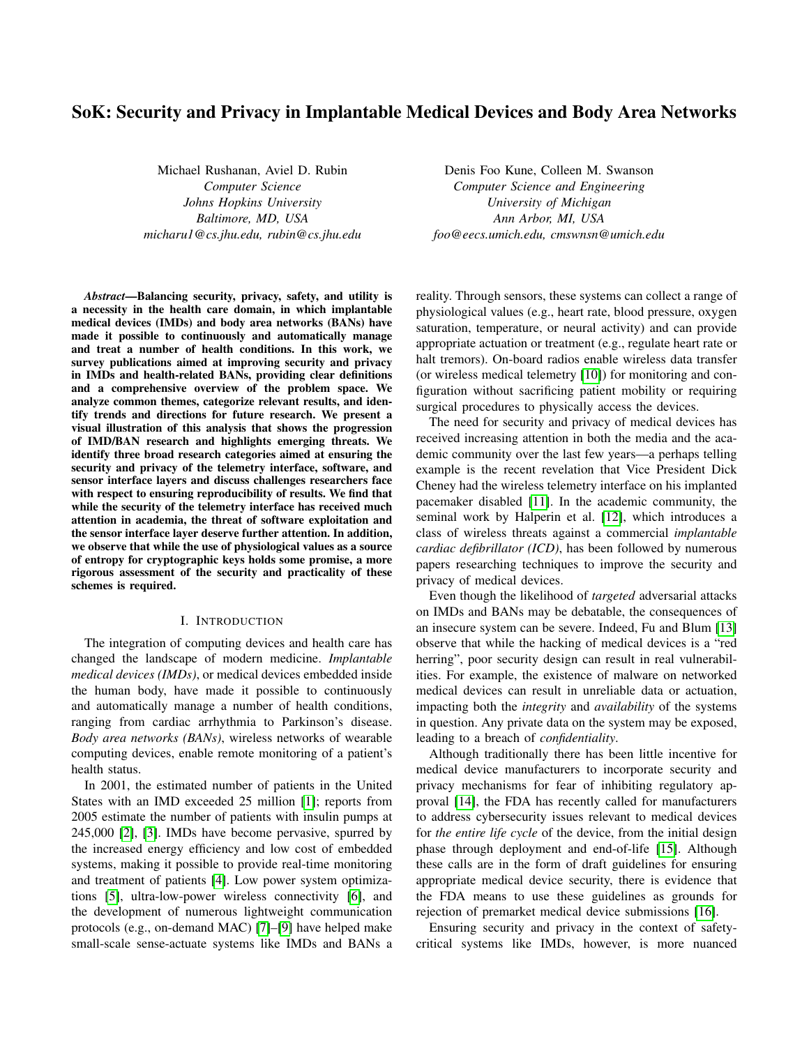# SoK: Security and Privacy in Implantable Medical Devices and Body Area Networks

Michael Rushanan, Aviel D. Rubin *Computer Science Johns Hopkins University Baltimore, MD, USA micharu1@cs.jhu.edu, rubin@cs.jhu.edu*

*Abstract*—Balancing security, privacy, safety, and utility is a necessity in the health care domain, in which implantable medical devices (IMDs) and body area networks (BANs) have made it possible to continuously and automatically manage and treat a number of health conditions. In this work, we survey publications aimed at improving security and privacy in IMDs and health-related BANs, providing clear definitions and a comprehensive overview of the problem space. We analyze common themes, categorize relevant results, and identify trends and directions for future research. We present a visual illustration of this analysis that shows the progression of IMD/BAN research and highlights emerging threats. We identify three broad research categories aimed at ensuring the security and privacy of the telemetry interface, software, and sensor interface layers and discuss challenges researchers face with respect to ensuring reproducibility of results. We find that while the security of the telemetry interface has received much attention in academia, the threat of software exploitation and the sensor interface layer deserve further attention. In addition, we observe that while the use of physiological values as a source of entropy for cryptographic keys holds some promise, a more rigorous assessment of the security and practicality of these schemes is required.

#### I. INTRODUCTION

The integration of computing devices and health care has changed the landscape of modern medicine. *Implantable medical devices (IMDs)*, or medical devices embedded inside the human body, have made it possible to continuously and automatically manage a number of health conditions, ranging from cardiac arrhythmia to Parkinson's disease. *Body area networks (BANs)*, wireless networks of wearable computing devices, enable remote monitoring of a patient's health status.

In 2001, the estimated number of patients in the United States with an IMD exceeded 25 million [\[1\]](#page-11-0); reports from 2005 estimate the number of patients with insulin pumps at 245,000 [\[2\]](#page-11-1), [\[3\]](#page-11-2). IMDs have become pervasive, spurred by the increased energy efficiency and low cost of embedded systems, making it possible to provide real-time monitoring and treatment of patients [\[4\]](#page-11-3). Low power system optimizations [\[5\]](#page-11-4), ultra-low-power wireless connectivity [\[6\]](#page-11-5), and the development of numerous lightweight communication protocols (e.g., on-demand MAC) [\[7\]](#page-11-6)–[\[9\]](#page-11-7) have helped make small-scale sense-actuate systems like IMDs and BANs a

Denis Foo Kune, Colleen M. Swanson *Computer Science and Engineering University of Michigan Ann Arbor, MI, USA foo@eecs.umich.edu, cmswnsn@umich.edu*

reality. Through sensors, these systems can collect a range of physiological values (e.g., heart rate, blood pressure, oxygen saturation, temperature, or neural activity) and can provide appropriate actuation or treatment (e.g., regulate heart rate or halt tremors). On-board radios enable wireless data transfer (or wireless medical telemetry [\[10\]](#page-11-8)) for monitoring and configuration without sacrificing patient mobility or requiring surgical procedures to physically access the devices.

The need for security and privacy of medical devices has received increasing attention in both the media and the academic community over the last few years—a perhaps telling example is the recent revelation that Vice President Dick Cheney had the wireless telemetry interface on his implanted pacemaker disabled [\[11\]](#page-11-9). In the academic community, the seminal work by Halperin et al. [\[12\]](#page-11-10), which introduces a class of wireless threats against a commercial *implantable cardiac defibrillator (ICD)*, has been followed by numerous papers researching techniques to improve the security and privacy of medical devices.

Even though the likelihood of *targeted* adversarial attacks on IMDs and BANs may be debatable, the consequences of an insecure system can be severe. Indeed, Fu and Blum [\[13\]](#page-11-11) observe that while the hacking of medical devices is a "red herring", poor security design can result in real vulnerabilities. For example, the existence of malware on networked medical devices can result in unreliable data or actuation, impacting both the *integrity* and *availability* of the systems in question. Any private data on the system may be exposed, leading to a breach of *confidentiality*.

Although traditionally there has been little incentive for medical device manufacturers to incorporate security and privacy mechanisms for fear of inhibiting regulatory approval [\[14\]](#page-11-12), the FDA has recently called for manufacturers to address cybersecurity issues relevant to medical devices for *the entire life cycle* of the device, from the initial design phase through deployment and end-of-life [\[15\]](#page-11-13). Although these calls are in the form of draft guidelines for ensuring appropriate medical device security, there is evidence that the FDA means to use these guidelines as grounds for rejection of premarket medical device submissions [\[16\]](#page-11-14).

Ensuring security and privacy in the context of safetycritical systems like IMDs, however, is more nuanced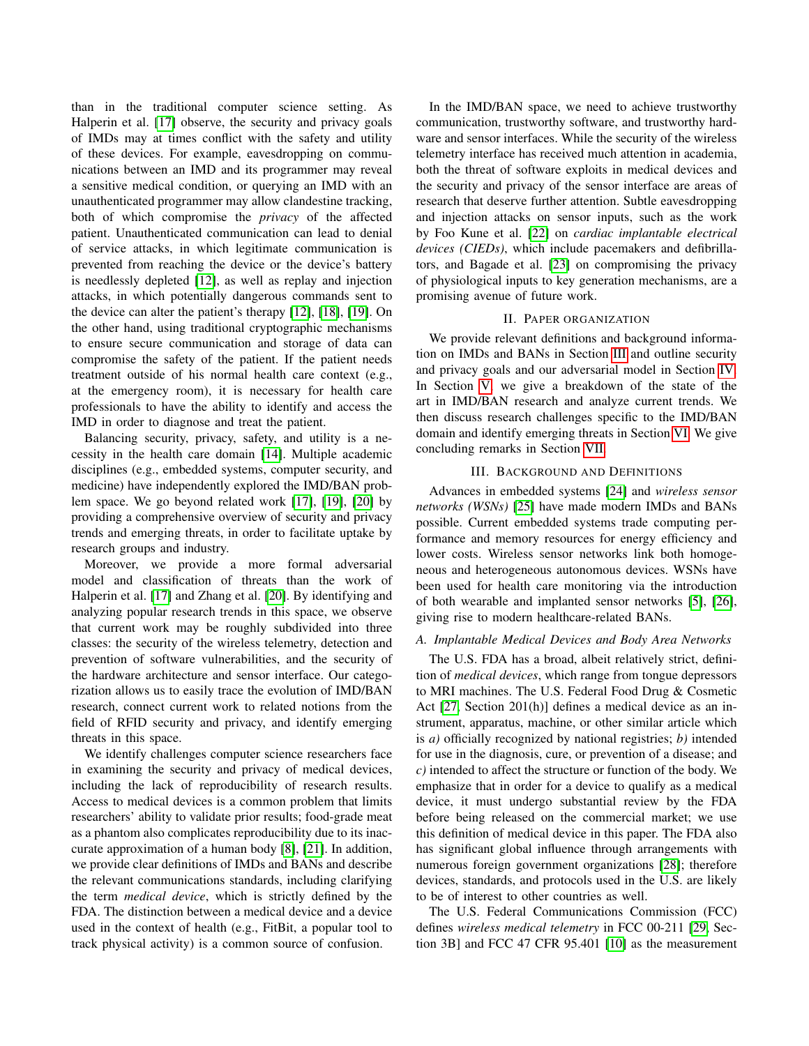than in the traditional computer science setting. As Halperin et al. [\[17\]](#page-11-15) observe, the security and privacy goals of IMDs may at times conflict with the safety and utility of these devices. For example, eavesdropping on communications between an IMD and its programmer may reveal a sensitive medical condition, or querying an IMD with an unauthenticated programmer may allow clandestine tracking, both of which compromise the *privacy* of the affected patient. Unauthenticated communication can lead to denial of service attacks, in which legitimate communication is prevented from reaching the device or the device's battery is needlessly depleted [\[12\]](#page-11-10), as well as replay and injection attacks, in which potentially dangerous commands sent to the device can alter the patient's therapy [\[12\]](#page-11-10), [\[18\]](#page-11-16), [\[19\]](#page-11-17). On the other hand, using traditional cryptographic mechanisms to ensure secure communication and storage of data can compromise the safety of the patient. If the patient needs treatment outside of his normal health care context (e.g., at the emergency room), it is necessary for health care professionals to have the ability to identify and access the IMD in order to diagnose and treat the patient.

Balancing security, privacy, safety, and utility is a necessity in the health care domain [\[14\]](#page-11-12). Multiple academic disciplines (e.g., embedded systems, computer security, and medicine) have independently explored the IMD/BAN problem space. We go beyond related work [\[17\]](#page-11-15), [\[19\]](#page-11-17), [\[20\]](#page-11-18) by providing a comprehensive overview of security and privacy trends and emerging threats, in order to facilitate uptake by research groups and industry.

Moreover, we provide a more formal adversarial model and classification of threats than the work of Halperin et al. [\[17\]](#page-11-15) and Zhang et al. [\[20\]](#page-11-18). By identifying and analyzing popular research trends in this space, we observe that current work may be roughly subdivided into three classes: the security of the wireless telemetry, detection and prevention of software vulnerabilities, and the security of the hardware architecture and sensor interface. Our categorization allows us to easily trace the evolution of IMD/BAN research, connect current work to related notions from the field of RFID security and privacy, and identify emerging threats in this space.

We identify challenges computer science researchers face in examining the security and privacy of medical devices, including the lack of reproducibility of research results. Access to medical devices is a common problem that limits researchers' ability to validate prior results; food-grade meat as a phantom also complicates reproducibility due to its inaccurate approximation of a human body [\[8\]](#page-11-19), [\[21\]](#page-11-20). In addition, we provide clear definitions of IMDs and BANs and describe the relevant communications standards, including clarifying the term *medical device*, which is strictly defined by the FDA. The distinction between a medical device and a device used in the context of health (e.g., FitBit, a popular tool to track physical activity) is a common source of confusion.

In the IMD/BAN space, we need to achieve trustworthy communication, trustworthy software, and trustworthy hardware and sensor interfaces. While the security of the wireless telemetry interface has received much attention in academia, both the threat of software exploits in medical devices and the security and privacy of the sensor interface are areas of research that deserve further attention. Subtle eavesdropping and injection attacks on sensor inputs, such as the work by Foo Kune et al. [\[22\]](#page-11-21) on *cardiac implantable electrical devices (CIEDs)*, which include pacemakers and defibrillators, and Bagade et al. [\[23\]](#page-12-0) on compromising the privacy of physiological inputs to key generation mechanisms, are a promising avenue of future work.

### II. PAPER ORGANIZATION

We provide relevant definitions and background information on IMDs and BANs in Section [III](#page-1-0) and outline security and privacy goals and our adversarial model in Section [IV.](#page-3-0) In Section [V,](#page-4-0) we give a breakdown of the state of the art in IMD/BAN research and analyze current trends. We then discuss research challenges specific to the IMD/BAN domain and identify emerging threats in Section [VI.](#page-8-0) We give concluding remarks in Section [VII.](#page-10-0)

### III. BACKGROUND AND DEFINITIONS

<span id="page-1-0"></span>Advances in embedded systems [\[24\]](#page-12-1) and *wireless sensor networks (WSNs)* [\[25\]](#page-12-2) have made modern IMDs and BANs possible. Current embedded systems trade computing performance and memory resources for energy efficiency and lower costs. Wireless sensor networks link both homogeneous and heterogeneous autonomous devices. WSNs have been used for health care monitoring via the introduction of both wearable and implanted sensor networks [\[5\]](#page-11-4), [\[26\]](#page-12-3), giving rise to modern healthcare-related BANs.

### *A. Implantable Medical Devices and Body Area Networks*

The U.S. FDA has a broad, albeit relatively strict, definition of *medical devices*, which range from tongue depressors to MRI machines. The U.S. Federal Food Drug & Cosmetic Act [\[27,](#page-12-4) Section 201(h)] defines a medical device as an instrument, apparatus, machine, or other similar article which is *a)* officially recognized by national registries; *b)* intended for use in the diagnosis, cure, or prevention of a disease; and *c)* intended to affect the structure or function of the body. We emphasize that in order for a device to qualify as a medical device, it must undergo substantial review by the FDA before being released on the commercial market; we use this definition of medical device in this paper. The FDA also has significant global influence through arrangements with numerous foreign government organizations [\[28\]](#page-12-5); therefore devices, standards, and protocols used in the U.S. are likely to be of interest to other countries as well.

The U.S. Federal Communications Commission (FCC) defines *wireless medical telemetry* in FCC 00-211 [\[29,](#page-12-6) Section 3B] and FCC 47 CFR 95.401 [\[10\]](#page-11-8) as the measurement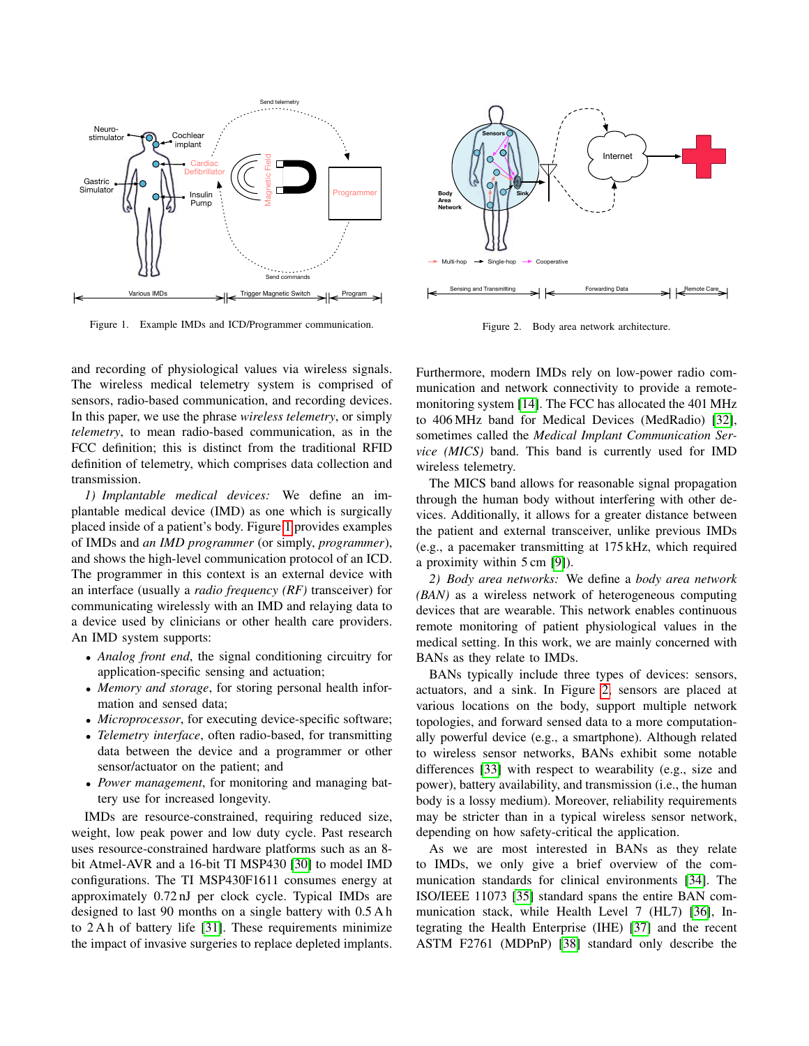

<span id="page-2-0"></span>Figure 1. Example IMDs and ICD/Programmer communication.



<span id="page-2-1"></span>Figure 2. Body area network architecture.

and recording of physiological values via wireless signals. The wireless medical telemetry system is comprised of sensors, radio-based communication, and recording devices. In this paper, we use the phrase *wireless telemetry*, or simply *telemetry*, to mean radio-based communication, as in the FCC definition; this is distinct from the traditional RFID definition of telemetry, which comprises data collection and transmission.

*1) Implantable medical devices:* We define an implantable medical device (IMD) as one which is surgically placed inside of a patient's body. Figure [1](#page-2-0) provides examples of IMDs and *an IMD programmer* (or simply, *programmer*), and shows the high-level communication protocol of an ICD. The programmer in this context is an external device with an interface (usually a *radio frequency (RF)* transceiver) for communicating wirelessly with an IMD and relaying data to a device used by clinicians or other health care providers. An IMD system supports:

- *Analog front end*, the signal conditioning circuitry for application-specific sensing and actuation;
- *Memory and storage*, for storing personal health information and sensed data;
- *Microprocessor*, for executing device-specific software;
- *Telemetry interface*, often radio-based, for transmitting data between the device and a programmer or other sensor/actuator on the patient; and
- *Power management*, for monitoring and managing battery use for increased longevity.

IMDs are resource-constrained, requiring reduced size, weight, low peak power and low duty cycle. Past research uses resource-constrained hardware platforms such as an 8 bit Atmel-AVR and a 16-bit TI MSP430 [\[30\]](#page-12-7) to model IMD configurations. The TI MSP430F1611 consumes energy at approximately 0.72 nJ per clock cycle. Typical IMDs are designed to last 90 months on a single battery with 0.5 A h to 2 A h of battery life [\[31\]](#page-12-8). These requirements minimize the impact of invasive surgeries to replace depleted implants. Furthermore, modern IMDs rely on low-power radio communication and network connectivity to provide a remotemonitoring system [\[14\]](#page-11-12). The FCC has allocated the 401 MHz to 406 MHz band for Medical Devices (MedRadio) [\[32\]](#page-12-9), sometimes called the *Medical Implant Communication Service (MICS)* band. This band is currently used for IMD wireless telemetry.

The MICS band allows for reasonable signal propagation through the human body without interfering with other devices. Additionally, it allows for a greater distance between the patient and external transceiver, unlike previous IMDs (e.g., a pacemaker transmitting at 175 kHz, which required a proximity within 5 cm [\[9\]](#page-11-7)).

*2) Body area networks:* We define a *body area network (BAN)* as a wireless network of heterogeneous computing devices that are wearable. This network enables continuous remote monitoring of patient physiological values in the medical setting. In this work, we are mainly concerned with BANs as they relate to IMDs.

BANs typically include three types of devices: sensors, actuators, and a sink. In Figure [2,](#page-2-1) sensors are placed at various locations on the body, support multiple network topologies, and forward sensed data to a more computationally powerful device (e.g., a smartphone). Although related to wireless sensor networks, BANs exhibit some notable differences [\[33\]](#page-12-10) with respect to wearability (e.g., size and power), battery availability, and transmission (i.e., the human body is a lossy medium). Moreover, reliability requirements may be stricter than in a typical wireless sensor network, depending on how safety-critical the application.

As we are most interested in BANs as they relate to IMDs, we only give a brief overview of the communication standards for clinical environments [\[34\]](#page-12-11). The ISO/IEEE 11073 [\[35\]](#page-12-12) standard spans the entire BAN communication stack, while Health Level 7 (HL7) [\[36\]](#page-12-13), Integrating the Health Enterprise (IHE) [\[37\]](#page-12-14) and the recent ASTM F2761 (MDPnP) [\[38\]](#page-12-15) standard only describe the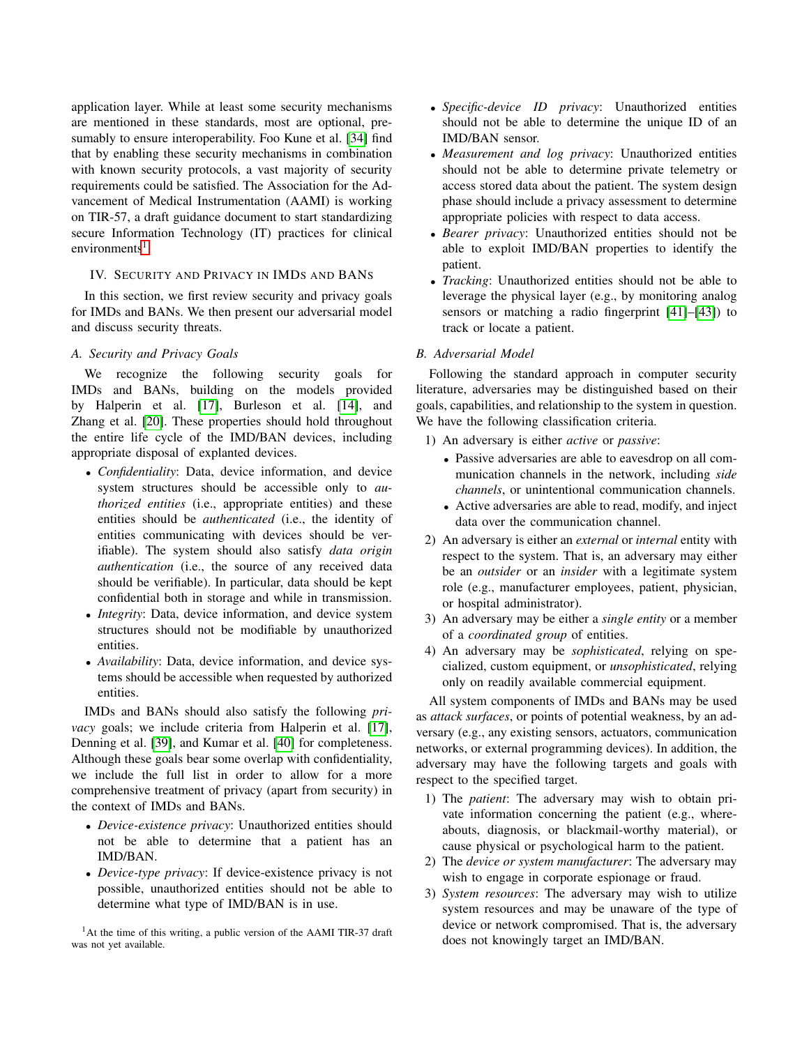application layer. While at least some security mechanisms are mentioned in these standards, most are optional, presumably to ensure interoperability. Foo Kune et al. [\[34\]](#page-12-11) find that by enabling these security mechanisms in combination with known security protocols, a vast majority of security requirements could be satisfied. The Association for the Advancement of Medical Instrumentation (AAMI) is working on TIR-57, a draft guidance document to start standardizing secure Information Technology (IT) practices for clinical environments<sup>[1](#page-3-1)</sup>.

## <span id="page-3-0"></span>IV. SECURITY AND PRIVACY IN IMDS AND BANS

In this section, we first review security and privacy goals for IMDs and BANs. We then present our adversarial model and discuss security threats.

## *A. Security and Privacy Goals*

We recognize the following security goals for IMDs and BANs, building on the models provided by Halperin et al. [\[17\]](#page-11-15), Burleson et al. [\[14\]](#page-11-12), and Zhang et al. [\[20\]](#page-11-18). These properties should hold throughout the entire life cycle of the IMD/BAN devices, including appropriate disposal of explanted devices.

- *Confidentiality*: Data, device information, and device system structures should be accessible only to *authorized entities* (i.e., appropriate entities) and these entities should be *authenticated* (i.e., the identity of entities communicating with devices should be verifiable). The system should also satisfy *data origin authentication* (i.e., the source of any received data should be verifiable). In particular, data should be kept confidential both in storage and while in transmission.
- *Integrity*: Data, device information, and device system structures should not be modifiable by unauthorized entities.
- *Availability*: Data, device information, and device systems should be accessible when requested by authorized entities.

IMDs and BANs should also satisfy the following *privacy* goals; we include criteria from Halperin et al. [\[17\]](#page-11-15), Denning et al. [\[39\]](#page-12-16), and Kumar et al. [\[40\]](#page-12-17) for completeness. Although these goals bear some overlap with confidentiality, we include the full list in order to allow for a more comprehensive treatment of privacy (apart from security) in the context of IMDs and BANs.

- *Device-existence privacy*: Unauthorized entities should not be able to determine that a patient has an IMD/BAN.
- *Device-type privacy*: If device-existence privacy is not possible, unauthorized entities should not be able to determine what type of IMD/BAN is in use.

<span id="page-3-1"></span><sup>1</sup>At the time of this writing, a public version of the AAMI TIR-37 draft was not yet available.

- *Specific-device ID privacy*: Unauthorized entities should not be able to determine the unique ID of an IMD/BAN sensor.
- *Measurement and log privacy*: Unauthorized entities should not be able to determine private telemetry or access stored data about the patient. The system design phase should include a privacy assessment to determine appropriate policies with respect to data access.
- *Bearer privacy*: Unauthorized entities should not be able to exploit IMD/BAN properties to identify the patient.
- *Tracking*: Unauthorized entities should not be able to leverage the physical layer (e.g., by monitoring analog sensors or matching a radio fingerprint [\[41\]](#page-12-18)–[\[43\]](#page-12-19)) to track or locate a patient.

### *B. Adversarial Model*

Following the standard approach in computer security literature, adversaries may be distinguished based on their goals, capabilities, and relationship to the system in question. We have the following classification criteria.

- 1) An adversary is either *active* or *passive*:
	- Passive adversaries are able to eavesdrop on all communication channels in the network, including *side channels*, or unintentional communication channels.
	- Active adversaries are able to read, modify, and inject data over the communication channel.
- 2) An adversary is either an *external* or *internal* entity with respect to the system. That is, an adversary may either be an *outsider* or an *insider* with a legitimate system role (e.g., manufacturer employees, patient, physician, or hospital administrator).
- 3) An adversary may be either a *single entity* or a member of a *coordinated group* of entities.
- 4) An adversary may be *sophisticated*, relying on specialized, custom equipment, or *unsophisticated*, relying only on readily available commercial equipment.

All system components of IMDs and BANs may be used as *attack surfaces*, or points of potential weakness, by an adversary (e.g., any existing sensors, actuators, communication networks, or external programming devices). In addition, the adversary may have the following targets and goals with respect to the specified target.

- 1) The *patient*: The adversary may wish to obtain private information concerning the patient (e.g., whereabouts, diagnosis, or blackmail-worthy material), or cause physical or psychological harm to the patient.
- 2) The *device or system manufacturer*: The adversary may wish to engage in corporate espionage or fraud.
- 3) *System resources*: The adversary may wish to utilize system resources and may be unaware of the type of device or network compromised. That is, the adversary does not knowingly target an IMD/BAN.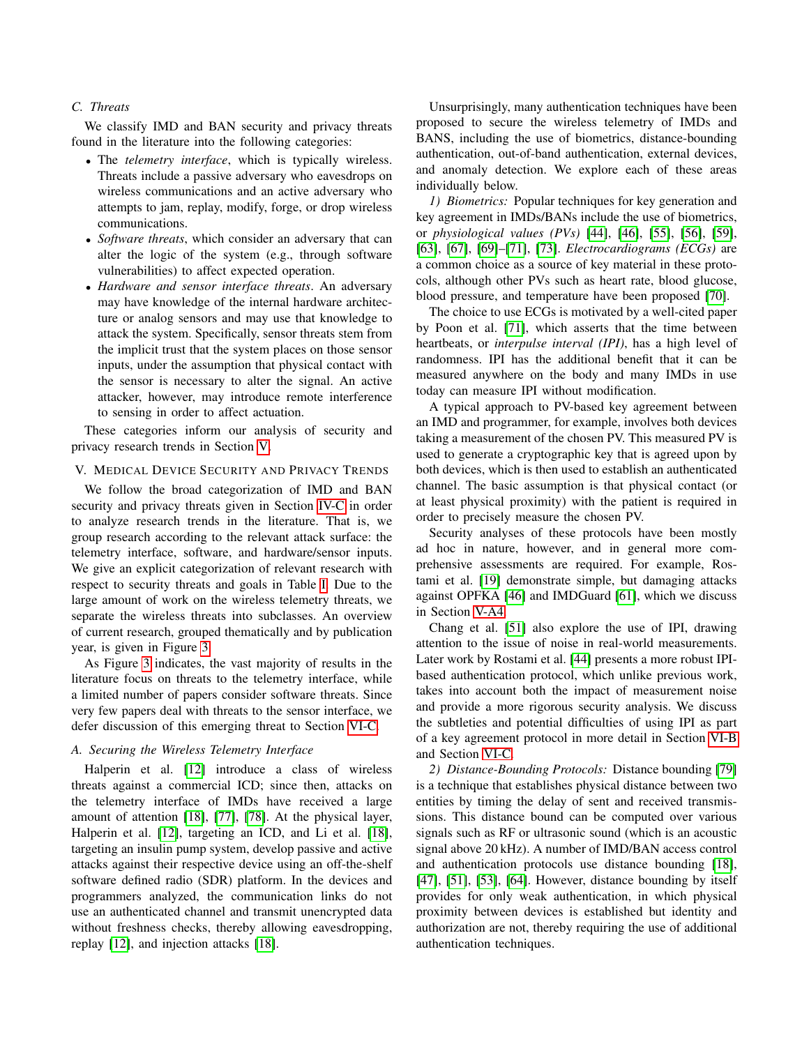# <span id="page-4-1"></span>*C. Threats*

We classify IMD and BAN security and privacy threats found in the literature into the following categories:

- The *telemetry interface*, which is typically wireless. Threats include a passive adversary who eavesdrops on wireless communications and an active adversary who attempts to jam, replay, modify, forge, or drop wireless communications.
- *Software threats*, which consider an adversary that can alter the logic of the system (e.g., through software vulnerabilities) to affect expected operation.
- *Hardware and sensor interface threats*. An adversary may have knowledge of the internal hardware architecture or analog sensors and may use that knowledge to attack the system. Specifically, sensor threats stem from the implicit trust that the system places on those sensor inputs, under the assumption that physical contact with the sensor is necessary to alter the signal. An active attacker, however, may introduce remote interference to sensing in order to affect actuation.

These categories inform our analysis of security and privacy research trends in Section [V.](#page-4-0)

#### <span id="page-4-0"></span>V. MEDICAL DEVICE SECURITY AND PRIVACY TRENDS

We follow the broad categorization of IMD and BAN security and privacy threats given in Section [IV-C](#page-4-1) in order to analyze research trends in the literature. That is, we group research according to the relevant attack surface: the telemetry interface, software, and hardware/sensor inputs. We give an explicit categorization of relevant research with respect to security threats and goals in Table [I.](#page-6-0) Due to the large amount of work on the wireless telemetry threats, we separate the wireless threats into subclasses. An overview of current research, grouped thematically and by publication year, is given in Figure [3.](#page-5-0)

As Figure [3](#page-5-0) indicates, the vast majority of results in the literature focus on threats to the telemetry interface, while a limited number of papers consider software threats. Since very few papers deal with threats to the sensor interface, we defer discussion of this emerging threat to Section [VI-C.](#page-10-1)

## <span id="page-4-2"></span>*A. Securing the Wireless Telemetry Interface*

Halperin et al. [\[12\]](#page-11-10) introduce a class of wireless threats against a commercial ICD; since then, attacks on the telemetry interface of IMDs have received a large amount of attention [\[18\]](#page-11-16), [\[77\]](#page-14-0), [\[78\]](#page-14-1). At the physical layer, Halperin et al. [\[12\]](#page-11-10), targeting an ICD, and Li et al. [\[18\]](#page-11-16), targeting an insulin pump system, develop passive and active attacks against their respective device using an off-the-shelf software defined radio (SDR) platform. In the devices and programmers analyzed, the communication links do not use an authenticated channel and transmit unencrypted data without freshness checks, thereby allowing eavesdropping, replay [\[12\]](#page-11-10), and injection attacks [\[18\]](#page-11-16).

Unsurprisingly, many authentication techniques have been proposed to secure the wireless telemetry of IMDs and BANS, including the use of biometrics, distance-bounding authentication, out-of-band authentication, external devices, and anomaly detection. We explore each of these areas individually below.

<span id="page-4-3"></span>*1) Biometrics:* Popular techniques for key generation and key agreement in IMDs/BANs include the use of biometrics, or *physiological values (PVs)* [\[44\]](#page-12-20), [\[46\]](#page-12-21), [\[55\]](#page-13-0), [\[56\]](#page-13-1), [\[59\]](#page-13-2), [\[63\]](#page-13-3), [\[67\]](#page-13-4), [\[69\]](#page-13-5)–[\[71\]](#page-13-6), [\[73\]](#page-13-7). *Electrocardiograms (ECGs)* are a common choice as a source of key material in these protocols, although other PVs such as heart rate, blood glucose, blood pressure, and temperature have been proposed [\[70\]](#page-13-8).

The choice to use ECGs is motivated by a well-cited paper by Poon et al. [\[71\]](#page-13-6), which asserts that the time between heartbeats, or *interpulse interval (IPI)*, has a high level of randomness. IPI has the additional benefit that it can be measured anywhere on the body and many IMDs in use today can measure IPI without modification.

A typical approach to PV-based key agreement between an IMD and programmer, for example, involves both devices taking a measurement of the chosen PV. This measured PV is used to generate a cryptographic key that is agreed upon by both devices, which is then used to establish an authenticated channel. The basic assumption is that physical contact (or at least physical proximity) with the patient is required in order to precisely measure the chosen PV.

Security analyses of these protocols have been mostly ad hoc in nature, however, and in general more comprehensive assessments are required. For example, Rostami et al. [\[19\]](#page-11-17) demonstrate simple, but damaging attacks against OPFKA [\[46\]](#page-12-21) and IMDGuard [\[61\]](#page-13-9), which we discuss in Section [V-A4.](#page-7-0)

Chang et al. [\[51\]](#page-13-10) also explore the use of IPI, drawing attention to the issue of noise in real-world measurements. Later work by Rostami et al. [\[44\]](#page-12-20) presents a more robust IPIbased authentication protocol, which unlike previous work, takes into account both the impact of measurement noise and provide a more rigorous security analysis. We discuss the subtleties and potential difficulties of using IPI as part of a key agreement protocol in more detail in Section [VI-B](#page-9-0) and Section [VI-C.](#page-10-1)

*2) Distance-Bounding Protocols:* Distance bounding [\[79\]](#page-14-2) is a technique that establishes physical distance between two entities by timing the delay of sent and received transmissions. This distance bound can be computed over various signals such as RF or ultrasonic sound (which is an acoustic signal above 20 kHz). A number of IMD/BAN access control and authentication protocols use distance bounding [\[18\]](#page-11-16), [\[47\]](#page-12-22), [\[51\]](#page-13-10), [\[53\]](#page-13-11), [\[64\]](#page-13-12). However, distance bounding by itself provides for only weak authentication, in which physical proximity between devices is established but identity and authorization are not, thereby requiring the use of additional authentication techniques.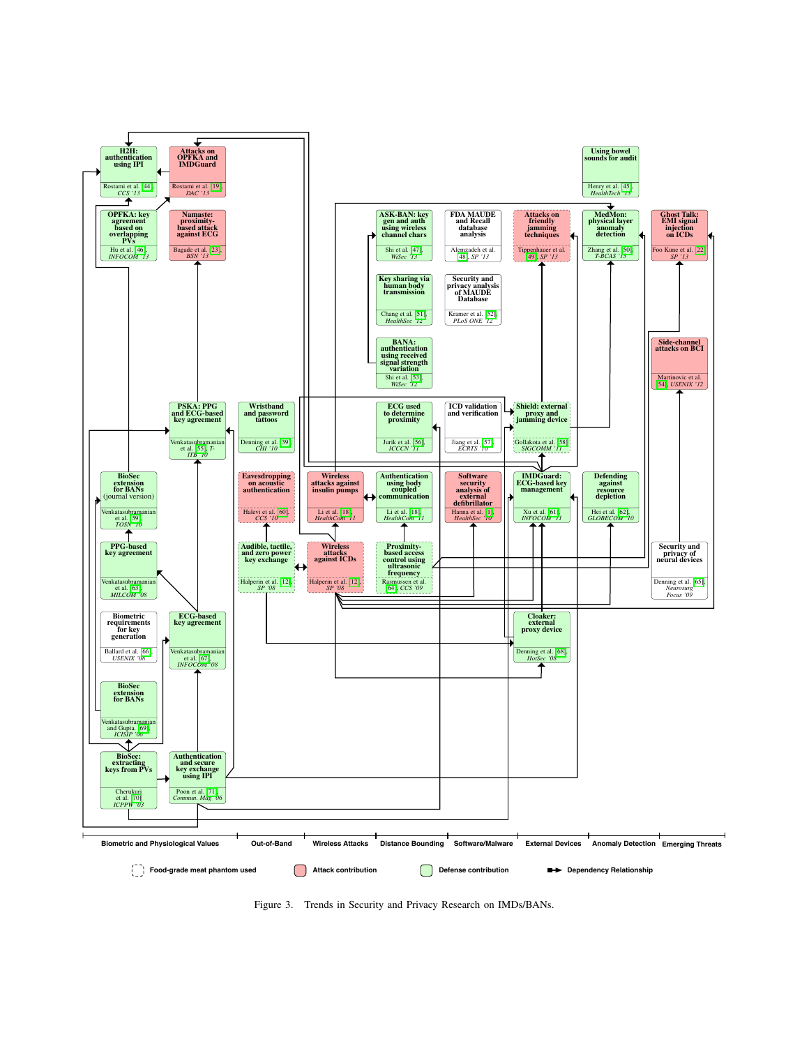

<span id="page-5-0"></span>Figure 3. Trends in Security and Privacy Research on IMDs/BANs.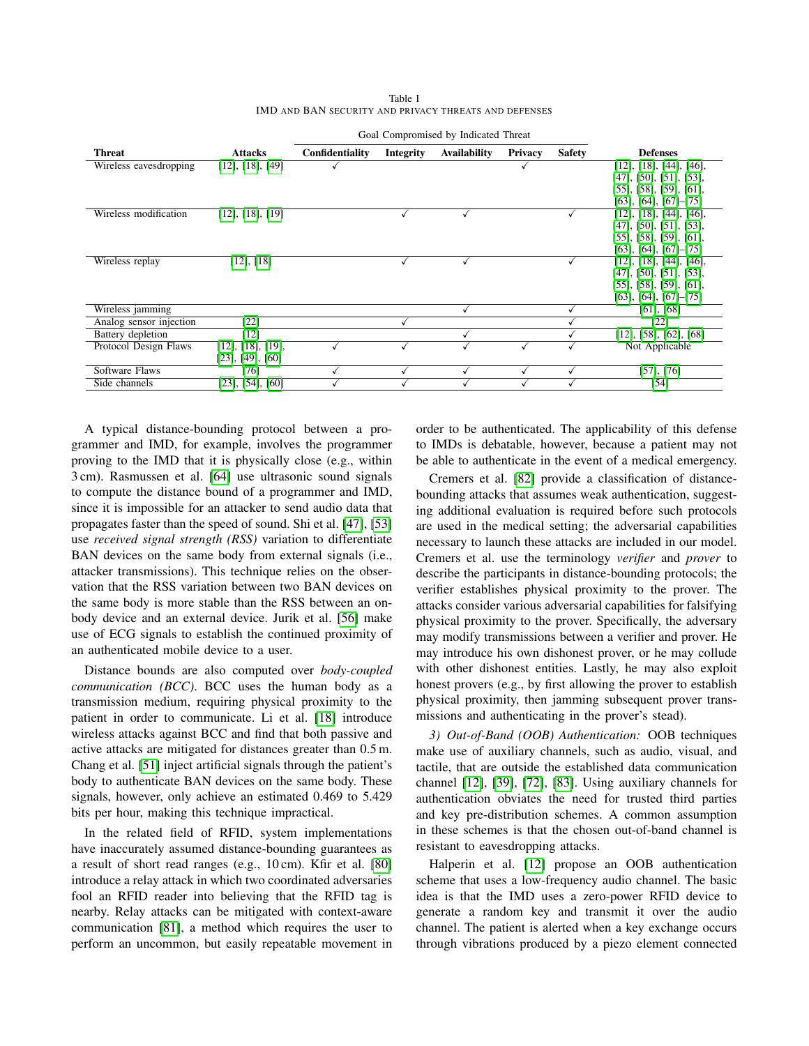Table I IMD AND BAN SECURITY AND PRIVACY THREATS AND DEFENSES

<span id="page-6-0"></span>

|                         |                            | Goal Compromised by Indicated Threat |                  |                     |                |               |                                                                           |
|-------------------------|----------------------------|--------------------------------------|------------------|---------------------|----------------|---------------|---------------------------------------------------------------------------|
| <b>Threat</b>           | <b>Attacks</b>             | Confidentiality                      | <b>Integrity</b> | <b>Availability</b> | <b>Privacy</b> | <b>Safety</b> | <b>Defenses</b>                                                           |
| Wireless eavesdropping  | $[12]$ , $[18]$ , $[49]$   |                                      |                  |                     |                |               | [12], [18], [44], [46],                                                   |
|                         |                            |                                      |                  |                     |                |               | [47], [50], [51], [53],                                                   |
|                         |                            |                                      |                  |                     |                |               | $[55]$ , [58], [59], [61],                                                |
|                         |                            |                                      |                  |                     |                |               | $[63]$ , $[64]$ , $[67]$ – $[75]$                                         |
| Wireless modification   | $[12]$ , $[18]$ , $[19]$   |                                      |                  |                     |                |               | $\overline{12}$ , $\overline{18}$ , $\overline{144}$ , $\overline{146}$ , |
|                         |                            |                                      |                  |                     |                |               | $[47]$ , [50], [51], [53],                                                |
|                         |                            |                                      |                  |                     |                |               | $[55]$ , [58], [59], [61],                                                |
|                         |                            |                                      |                  |                     |                |               | $[63]$ , $[64]$ , $[67]$ – $[75]$                                         |
| Wireless replay         | $[12]$ , $[18]$            |                                      |                  |                     |                |               | $[12]$ , [18], [44], [46],                                                |
|                         |                            |                                      |                  |                     |                |               | $[47]$ , [50], [51], [53],                                                |
|                         |                            |                                      |                  |                     |                |               | $[55]$ , [58], [59], [61],                                                |
|                         |                            |                                      |                  |                     |                |               | $[63]$ , $[64]$ , $[67]$ – $[75]$                                         |
| Wireless jamming        |                            |                                      |                  |                     |                |               | $[61]$ , $[68]$                                                           |
| Analog sensor injection | [22]                       |                                      |                  |                     |                |               | [22]                                                                      |
| Battery depletion       | $[12]$                     |                                      |                  |                     |                |               | $[12]$ , [58], [62], [68]                                                 |
| Protocol Design Flaws   | $[12]$ , $[18]$ , $[19]$ , |                                      |                  |                     |                |               | Not Applicable                                                            |
|                         | $[23]$ , $[49]$ , $[60]$   |                                      |                  |                     |                |               |                                                                           |
| Software Flaws          | [76]                       |                                      |                  |                     |                |               | $[57]$ , $[76]$                                                           |
| Side channels           | [23], [54], [60]           |                                      |                  |                     |                |               | [54]                                                                      |

A typical distance-bounding protocol between a programmer and IMD, for example, involves the programmer proving to the IMD that it is physically close (e.g., within 3 cm). Rasmussen et al. [\[64\]](#page-13-12) use ultrasonic sound signals to compute the distance bound of a programmer and IMD, since it is impossible for an attacker to send audio data that propagates faster than the speed of sound. Shi et al. [\[47\]](#page-12-22), [\[53\]](#page-13-11) use *received signal strength (RSS)* variation to differentiate BAN devices on the same body from external signals (i.e., attacker transmissions). This technique relies on the observation that the RSS variation between two BAN devices on the same body is more stable than the RSS between an onbody device and an external device. Jurik et al. [\[56\]](#page-13-1) make use of ECG signals to establish the continued proximity of an authenticated mobile device to a user.

Distance bounds are also computed over *body-coupled communication (BCC)*. BCC uses the human body as a transmission medium, requiring physical proximity to the patient in order to communicate. Li et al. [\[18\]](#page-11-16) introduce wireless attacks against BCC and find that both passive and active attacks are mitigated for distances greater than 0.5 m. Chang et al. [\[51\]](#page-13-10) inject artificial signals through the patient's body to authenticate BAN devices on the same body. These signals, however, only achieve an estimated 0.469 to 5.429 bits per hour, making this technique impractical.

In the related field of RFID, system implementations have inaccurately assumed distance-bounding guarantees as a result of short read ranges (e.g., 10 cm). Kfir et al. [\[80\]](#page-14-5) introduce a relay attack in which two coordinated adversaries fool an RFID reader into believing that the RFID tag is nearby. Relay attacks can be mitigated with context-aware communication [\[81\]](#page-14-6), a method which requires the user to perform an uncommon, but easily repeatable movement in order to be authenticated. The applicability of this defense to IMDs is debatable, however, because a patient may not be able to authenticate in the event of a medical emergency.

Cremers et al. [\[82\]](#page-14-7) provide a classification of distancebounding attacks that assumes weak authentication, suggesting additional evaluation is required before such protocols are used in the medical setting; the adversarial capabilities necessary to launch these attacks are included in our model. Cremers et al. use the terminology *verifier* and *prover* to describe the participants in distance-bounding protocols; the verifier establishes physical proximity to the prover. The attacks consider various adversarial capabilities for falsifying physical proximity to the prover. Specifically, the adversary may modify transmissions between a verifier and prover. He may introduce his own dishonest prover, or he may collude with other dishonest entities. Lastly, he may also exploit honest provers (e.g., by first allowing the prover to establish physical proximity, then jamming subsequent prover transmissions and authenticating in the prover's stead).

*3) Out-of-Band (OOB) Authentication:* OOB techniques make use of auxiliary channels, such as audio, visual, and tactile, that are outside the established data communication channel [\[12\]](#page-11-10), [\[39\]](#page-12-16), [\[72\]](#page-13-23), [\[83\]](#page-14-8). Using auxiliary channels for authentication obviates the need for trusted third parties and key pre-distribution schemes. A common assumption in these schemes is that the chosen out-of-band channel is resistant to eavesdropping attacks.

Halperin et al. [\[12\]](#page-11-10) propose an OOB authentication scheme that uses a low-frequency audio channel. The basic idea is that the IMD uses a zero-power RFID device to generate a random key and transmit it over the audio channel. The patient is alerted when a key exchange occurs through vibrations produced by a piezo element connected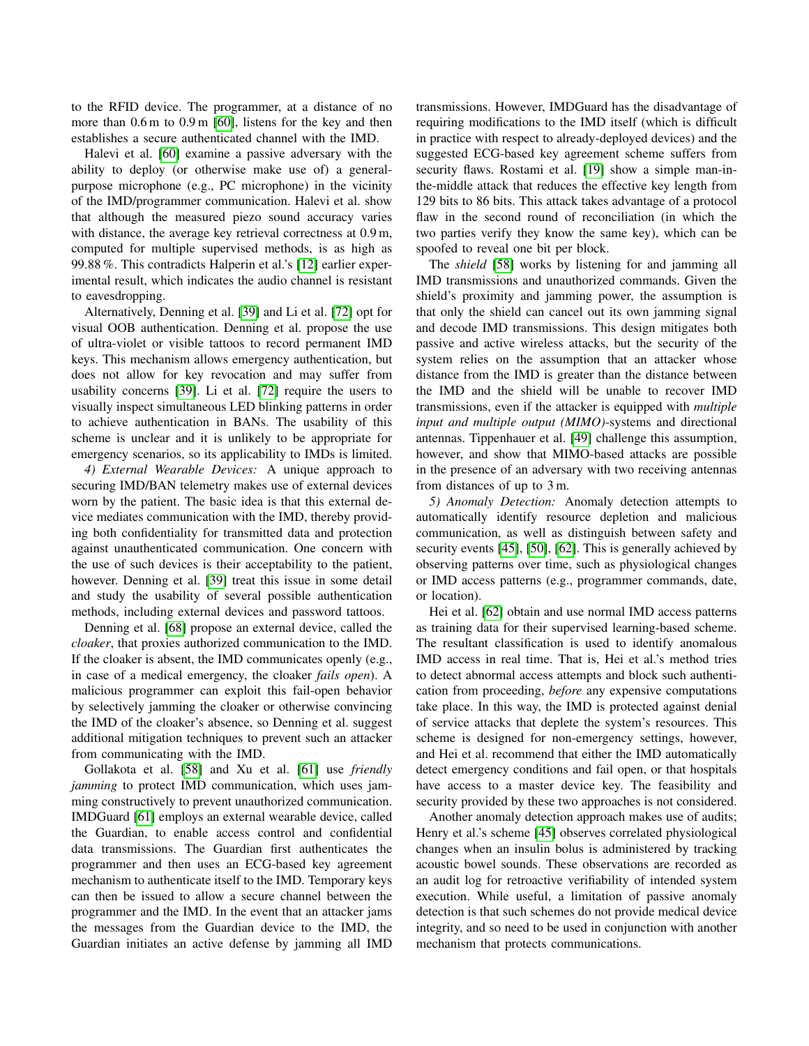to the RFID device. The programmer, at a distance of no more than 0.6 m to 0.9 m [\[60\]](#page-13-18), listens for the key and then establishes a secure authenticated channel with the IMD.

Halevi et al. [\[60\]](#page-13-18) examine a passive adversary with the ability to deploy (or otherwise make use of) a generalpurpose microphone (e.g., PC microphone) in the vicinity of the IMD/programmer communication. Halevi et al. show that although the measured piezo sound accuracy varies with distance, the average key retrieval correctness at  $0.9 \text{ m}$ , computed for multiple supervised methods, is as high as 99.88 %. This contradicts Halperin et al.'s [\[12\]](#page-11-10) earlier experimental result, which indicates the audio channel is resistant to eavesdropping.

Alternatively, Denning et al. [\[39\]](#page-12-16) and Li et al. [\[72\]](#page-13-23) opt for visual OOB authentication. Denning et al. propose the use of ultra-violet or visible tattoos to record permanent IMD keys. This mechanism allows emergency authentication, but does not allow for key revocation and may suffer from usability concerns [\[39\]](#page-12-16). Li et al. [\[72\]](#page-13-23) require the users to visually inspect simultaneous LED blinking patterns in order to achieve authentication in BANs. The usability of this scheme is unclear and it is unlikely to be appropriate for emergency scenarios, so its applicability to IMDs is limited.

<span id="page-7-0"></span>*4) External Wearable Devices:* A unique approach to securing IMD/BAN telemetry makes use of external devices worn by the patient. The basic idea is that this external device mediates communication with the IMD, thereby providing both confidentiality for transmitted data and protection against unauthenticated communication. One concern with the use of such devices is their acceptability to the patient, however. Denning et al. [\[39\]](#page-12-16) treat this issue in some detail and study the usability of several possible authentication methods, including external devices and password tattoos.

Denning et al. [\[68\]](#page-13-22) propose an external device, called the *cloaker*, that proxies authorized communication to the IMD. If the cloaker is absent, the IMD communicates openly (e.g., in case of a medical emergency, the cloaker *fails open*). A malicious programmer can exploit this fail-open behavior by selectively jamming the cloaker or otherwise convincing the IMD of the cloaker's absence, so Denning et al. suggest additional mitigation techniques to prevent such an attacker from communicating with the IMD.

Gollakota et al. [\[58\]](#page-13-17) and Xu et al. [\[61\]](#page-13-9) use *friendly jamming* to protect IMD communication, which uses jamming constructively to prevent unauthorized communication. IMDGuard [\[61\]](#page-13-9) employs an external wearable device, called the Guardian, to enable access control and confidential data transmissions. The Guardian first authenticates the programmer and then uses an ECG-based key agreement mechanism to authenticate itself to the IMD. Temporary keys can then be issued to allow a secure channel between the programmer and the IMD. In the event that an attacker jams the messages from the Guardian device to the IMD, the Guardian initiates an active defense by jamming all IMD transmissions. However, IMDGuard has the disadvantage of requiring modifications to the IMD itself (which is difficult in practice with respect to already-deployed devices) and the suggested ECG-based key agreement scheme suffers from security flaws. Rostami et al. [\[19\]](#page-11-17) show a simple man-inthe-middle attack that reduces the effective key length from 129 bits to 86 bits. This attack takes advantage of a protocol flaw in the second round of reconciliation (in which the two parties verify they know the same key), which can be spoofed to reveal one bit per block.

The *shield* [\[58\]](#page-13-17) works by listening for and jamming all IMD transmissions and unauthorized commands. Given the shield's proximity and jamming power, the assumption is that only the shield can cancel out its own jamming signal and decode IMD transmissions. This design mitigates both passive and active wireless attacks, but the security of the system relies on the assumption that an attacker whose distance from the IMD is greater than the distance between the IMD and the shield will be unable to recover IMD transmissions, even if the attacker is equipped with *multiple input and multiple output (MIMO)*-systems and directional antennas. Tippenhauer et al. [\[49\]](#page-12-25) challenge this assumption, however, and show that MIMO-based attacks are possible in the presence of an adversary with two receiving antennas from distances of up to 3 m.

*5) Anomaly Detection:* Anomaly detection attempts to automatically identify resource depletion and malicious communication, as well as distinguish between safety and security events [\[45\]](#page-12-23), [\[50\]](#page-13-13), [\[62\]](#page-13-19). This is generally achieved by observing patterns over time, such as physiological changes or IMD access patterns (e.g., programmer commands, date, or location).

Hei et al. [\[62\]](#page-13-19) obtain and use normal IMD access patterns as training data for their supervised learning-based scheme. The resultant classification is used to identify anomalous IMD access in real time. That is, Hei et al.'s method tries to detect abnormal access attempts and block such authentication from proceeding, *before* any expensive computations take place. In this way, the IMD is protected against denial of service attacks that deplete the system's resources. This scheme is designed for non-emergency settings, however, and Hei et al. recommend that either the IMD automatically detect emergency conditions and fail open, or that hospitals have access to a master device key. The feasibility and security provided by these two approaches is not considered.

Another anomaly detection approach makes use of audits; Henry et al.'s scheme [\[45\]](#page-12-23) observes correlated physiological changes when an insulin bolus is administered by tracking acoustic bowel sounds. These observations are recorded as an audit log for retroactive verifiability of intended system execution. While useful, a limitation of passive anomaly detection is that such schemes do not provide medical device integrity, and so need to be used in conjunction with another mechanism that protects communications.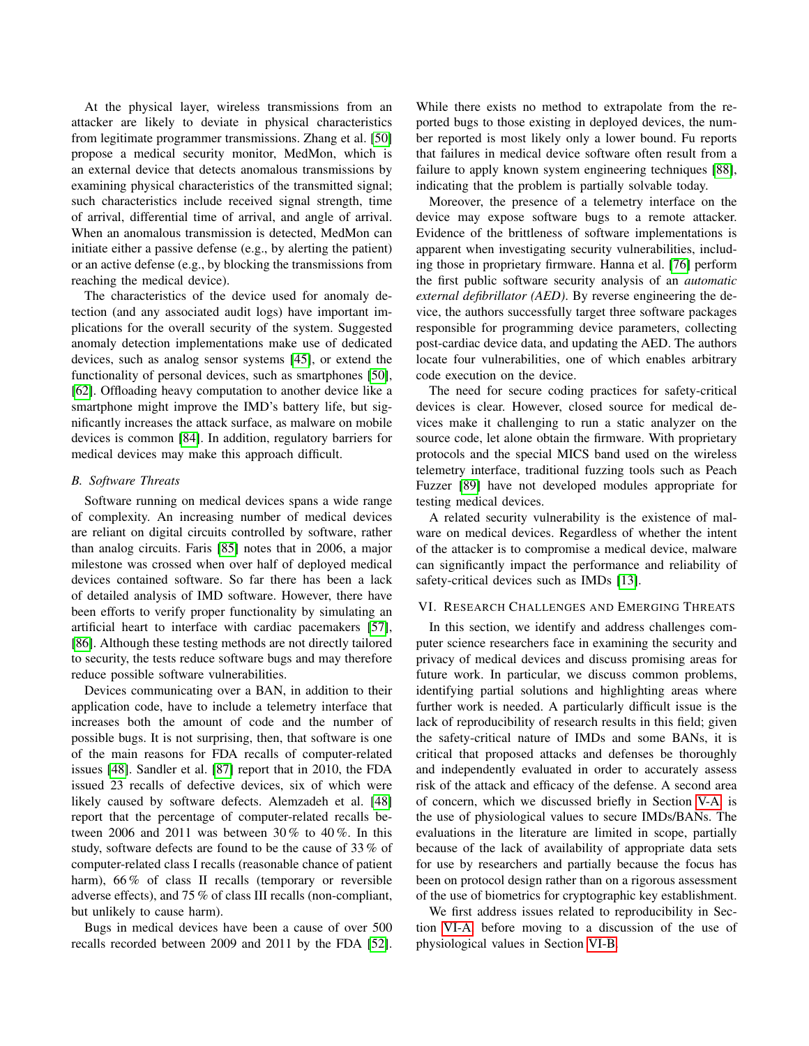At the physical layer, wireless transmissions from an attacker are likely to deviate in physical characteristics from legitimate programmer transmissions. Zhang et al. [\[50\]](#page-13-13) propose a medical security monitor, MedMon, which is an external device that detects anomalous transmissions by examining physical characteristics of the transmitted signal; such characteristics include received signal strength, time of arrival, differential time of arrival, and angle of arrival. When an anomalous transmission is detected, MedMon can initiate either a passive defense (e.g., by alerting the patient) or an active defense (e.g., by blocking the transmissions from reaching the medical device).

The characteristics of the device used for anomaly detection (and any associated audit logs) have important implications for the overall security of the system. Suggested anomaly detection implementations make use of dedicated devices, such as analog sensor systems [\[45\]](#page-12-23), or extend the functionality of personal devices, such as smartphones [\[50\]](#page-13-13), [\[62\]](#page-13-19). Offloading heavy computation to another device like a smartphone might improve the IMD's battery life, but significantly increases the attack surface, as malware on mobile devices is common [\[84\]](#page-14-9). In addition, regulatory barriers for medical devices may make this approach difficult.

### <span id="page-8-1"></span>*B. Software Threats*

Software running on medical devices spans a wide range of complexity. An increasing number of medical devices are reliant on digital circuits controlled by software, rather than analog circuits. Faris [\[85\]](#page-14-10) notes that in 2006, a major milestone was crossed when over half of deployed medical devices contained software. So far there has been a lack of detailed analysis of IMD software. However, there have been efforts to verify proper functionality by simulating an artificial heart to interface with cardiac pacemakers [\[57\]](#page-13-16), [\[86\]](#page-14-11). Although these testing methods are not directly tailored to security, the tests reduce software bugs and may therefore reduce possible software vulnerabilities.

Devices communicating over a BAN, in addition to their application code, have to include a telemetry interface that increases both the amount of code and the number of possible bugs. It is not surprising, then, that software is one of the main reasons for FDA recalls of computer-related issues [\[48\]](#page-12-24). Sandler et al. [\[87\]](#page-14-12) report that in 2010, the FDA issued 23 recalls of defective devices, six of which were likely caused by software defects. Alemzadeh et al. [\[48\]](#page-12-24) report that the percentage of computer-related recalls between 2006 and 2011 was between 30% to 40%. In this study, software defects are found to be the cause of 33 % of computer-related class I recalls (reasonable chance of patient harm), 66% of class II recalls (temporary or reversible adverse effects), and 75 % of class III recalls (non-compliant, but unlikely to cause harm).

Bugs in medical devices have been a cause of over 500 recalls recorded between 2009 and 2011 by the FDA [\[52\]](#page-13-14). While there exists no method to extrapolate from the reported bugs to those existing in deployed devices, the number reported is most likely only a lower bound. Fu reports that failures in medical device software often result from a failure to apply known system engineering techniques [\[88\]](#page-14-13), indicating that the problem is partially solvable today.

Moreover, the presence of a telemetry interface on the device may expose software bugs to a remote attacker. Evidence of the brittleness of software implementations is apparent when investigating security vulnerabilities, including those in proprietary firmware. Hanna et al. [\[76\]](#page-14-4) perform the first public software security analysis of an *automatic external defibrillator (AED)*. By reverse engineering the device, the authors successfully target three software packages responsible for programming device parameters, collecting post-cardiac device data, and updating the AED. The authors locate four vulnerabilities, one of which enables arbitrary code execution on the device.

The need for secure coding practices for safety-critical devices is clear. However, closed source for medical devices make it challenging to run a static analyzer on the source code, let alone obtain the firmware. With proprietary protocols and the special MICS band used on the wireless telemetry interface, traditional fuzzing tools such as Peach Fuzzer [\[89\]](#page-14-14) have not developed modules appropriate for testing medical devices.

A related security vulnerability is the existence of malware on medical devices. Regardless of whether the intent of the attacker is to compromise a medical device, malware can significantly impact the performance and reliability of safety-critical devices such as IMDs [\[13\]](#page-11-11).

### <span id="page-8-0"></span>VI. RESEARCH CHALLENGES AND EMERGING THREATS

In this section, we identify and address challenges computer science researchers face in examining the security and privacy of medical devices and discuss promising areas for future work. In particular, we discuss common problems, identifying partial solutions and highlighting areas where further work is needed. A particularly difficult issue is the lack of reproducibility of research results in this field; given the safety-critical nature of IMDs and some BANs, it is critical that proposed attacks and defenses be thoroughly and independently evaluated in order to accurately assess risk of the attack and efficacy of the defense. A second area of concern, which we discussed briefly in Section [V-A,](#page-4-2) is the use of physiological values to secure IMDs/BANs. The evaluations in the literature are limited in scope, partially because of the lack of availability of appropriate data sets for use by researchers and partially because the focus has been on protocol design rather than on a rigorous assessment of the use of biometrics for cryptographic key establishment.

We first address issues related to reproducibility in Section [VI-A,](#page-9-1) before moving to a discussion of the use of physiological values in Section [VI-B.](#page-9-0)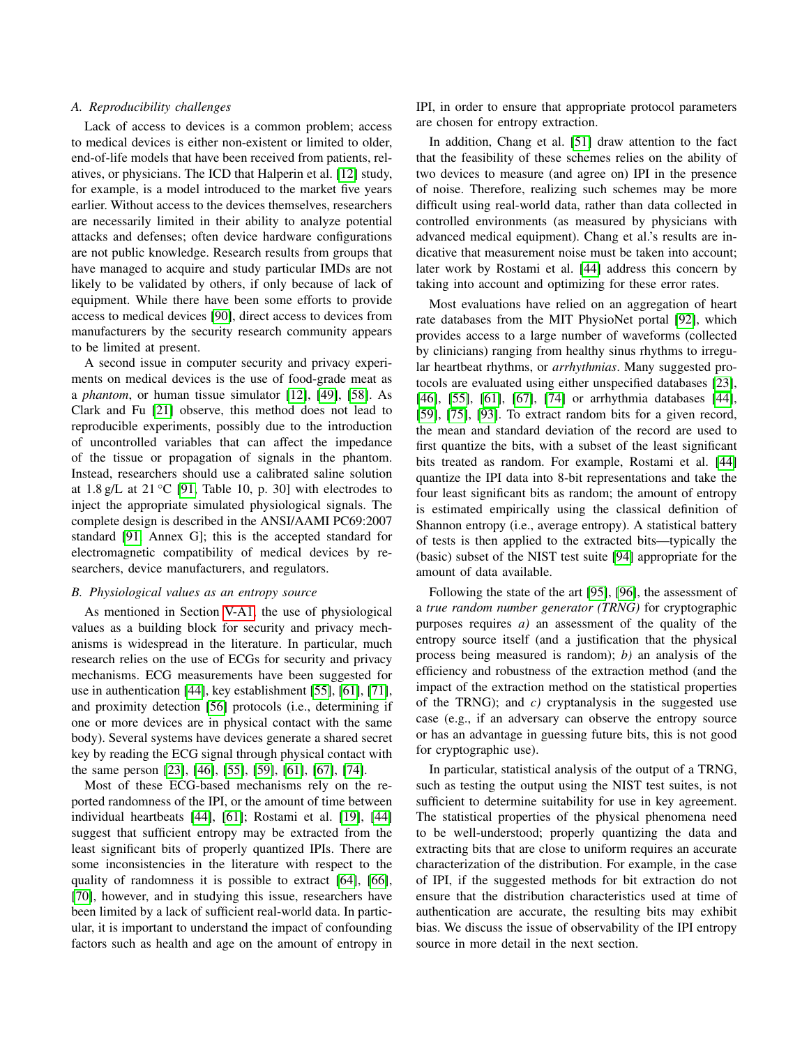## <span id="page-9-1"></span>*A. Reproducibility challenges*

Lack of access to devices is a common problem; access to medical devices is either non-existent or limited to older, end-of-life models that have been received from patients, relatives, or physicians. The ICD that Halperin et al. [\[12\]](#page-11-10) study, for example, is a model introduced to the market five years earlier. Without access to the devices themselves, researchers are necessarily limited in their ability to analyze potential attacks and defenses; often device hardware configurations are not public knowledge. Research results from groups that have managed to acquire and study particular IMDs are not likely to be validated by others, if only because of lack of equipment. While there have been some efforts to provide access to medical devices [\[90\]](#page-14-15), direct access to devices from manufacturers by the security research community appears to be limited at present.

A second issue in computer security and privacy experiments on medical devices is the use of food-grade meat as a *phantom*, or human tissue simulator [\[12\]](#page-11-10), [\[49\]](#page-12-25), [\[58\]](#page-13-17). As Clark and Fu [\[21\]](#page-11-20) observe, this method does not lead to reproducible experiments, possibly due to the introduction of uncontrolled variables that can affect the impedance of the tissue or propagation of signals in the phantom. Instead, researchers should use a calibrated saline solution at  $1.8 \text{ g/L}$  at  $21 \text{ °C}$  [\[91,](#page-14-16) Table 10, p. 30] with electrodes to inject the appropriate simulated physiological signals. The complete design is described in the ANSI/AAMI PC69:2007 standard [\[91,](#page-14-16) Annex G]; this is the accepted standard for electromagnetic compatibility of medical devices by researchers, device manufacturers, and regulators.

#### <span id="page-9-0"></span>*B. Physiological values as an entropy source*

As mentioned in Section [V-A1,](#page-4-3) the use of physiological values as a building block for security and privacy mechanisms is widespread in the literature. In particular, much research relies on the use of ECGs for security and privacy mechanisms. ECG measurements have been suggested for use in authentication [\[44\]](#page-12-20), key establishment [\[55\]](#page-13-0), [\[61\]](#page-13-9), [\[71\]](#page-13-6), and proximity detection [\[56\]](#page-13-1) protocols (i.e., determining if one or more devices are in physical contact with the same body). Several systems have devices generate a shared secret key by reading the ECG signal through physical contact with the same person [\[23\]](#page-12-0), [\[46\]](#page-12-21), [\[55\]](#page-13-0), [\[59\]](#page-13-2), [\[61\]](#page-13-9), [\[67\]](#page-13-4), [\[74\]](#page-13-24).

Most of these ECG-based mechanisms rely on the reported randomness of the IPI, or the amount of time between individual heartbeats [\[44\]](#page-12-20), [\[61\]](#page-13-9); Rostami et al. [\[19\]](#page-11-17), [\[44\]](#page-12-20) suggest that sufficient entropy may be extracted from the least significant bits of properly quantized IPIs. There are some inconsistencies in the literature with respect to the quality of randomness it is possible to extract [\[64\]](#page-13-12), [\[66\]](#page-13-21), [\[70\]](#page-13-8), however, and in studying this issue, researchers have been limited by a lack of sufficient real-world data. In particular, it is important to understand the impact of confounding factors such as health and age on the amount of entropy in IPI, in order to ensure that appropriate protocol parameters are chosen for entropy extraction.

In addition, Chang et al. [\[51\]](#page-13-10) draw attention to the fact that the feasibility of these schemes relies on the ability of two devices to measure (and agree on) IPI in the presence of noise. Therefore, realizing such schemes may be more difficult using real-world data, rather than data collected in controlled environments (as measured by physicians with advanced medical equipment). Chang et al.'s results are indicative that measurement noise must be taken into account; later work by Rostami et al. [\[44\]](#page-12-20) address this concern by taking into account and optimizing for these error rates.

Most evaluations have relied on an aggregation of heart rate databases from the MIT PhysioNet portal [\[92\]](#page-14-17), which provides access to a large number of waveforms (collected by clinicians) ranging from healthy sinus rhythms to irregular heartbeat rhythms, or *arrhythmias*. Many suggested protocols are evaluated using either unspecified databases [\[23\]](#page-12-0), [\[46\]](#page-12-21), [\[55\]](#page-13-0), [\[61\]](#page-13-9), [\[67\]](#page-13-4), [\[74\]](#page-13-24) or arrhythmia databases [\[44\]](#page-12-20), [\[59\]](#page-13-2), [\[75\]](#page-14-3), [\[93\]](#page-14-18). To extract random bits for a given record, the mean and standard deviation of the record are used to first quantize the bits, with a subset of the least significant bits treated as random. For example, Rostami et al. [\[44\]](#page-12-20) quantize the IPI data into 8-bit representations and take the four least significant bits as random; the amount of entropy is estimated empirically using the classical definition of Shannon entropy (i.e., average entropy). A statistical battery of tests is then applied to the extracted bits—typically the (basic) subset of the NIST test suite [\[94\]](#page-14-19) appropriate for the amount of data available.

Following the state of the art [\[95\]](#page-14-20), [\[96\]](#page-14-21), the assessment of a *true random number generator (TRNG)* for cryptographic purposes requires *a)* an assessment of the quality of the entropy source itself (and a justification that the physical process being measured is random); *b)* an analysis of the efficiency and robustness of the extraction method (and the impact of the extraction method on the statistical properties of the TRNG); and *c)* cryptanalysis in the suggested use case (e.g., if an adversary can observe the entropy source or has an advantage in guessing future bits, this is not good for cryptographic use).

In particular, statistical analysis of the output of a TRNG, such as testing the output using the NIST test suites, is not sufficient to determine suitability for use in key agreement. The statistical properties of the physical phenomena need to be well-understood; properly quantizing the data and extracting bits that are close to uniform requires an accurate characterization of the distribution. For example, in the case of IPI, if the suggested methods for bit extraction do not ensure that the distribution characteristics used at time of authentication are accurate, the resulting bits may exhibit bias. We discuss the issue of observability of the IPI entropy source in more detail in the next section.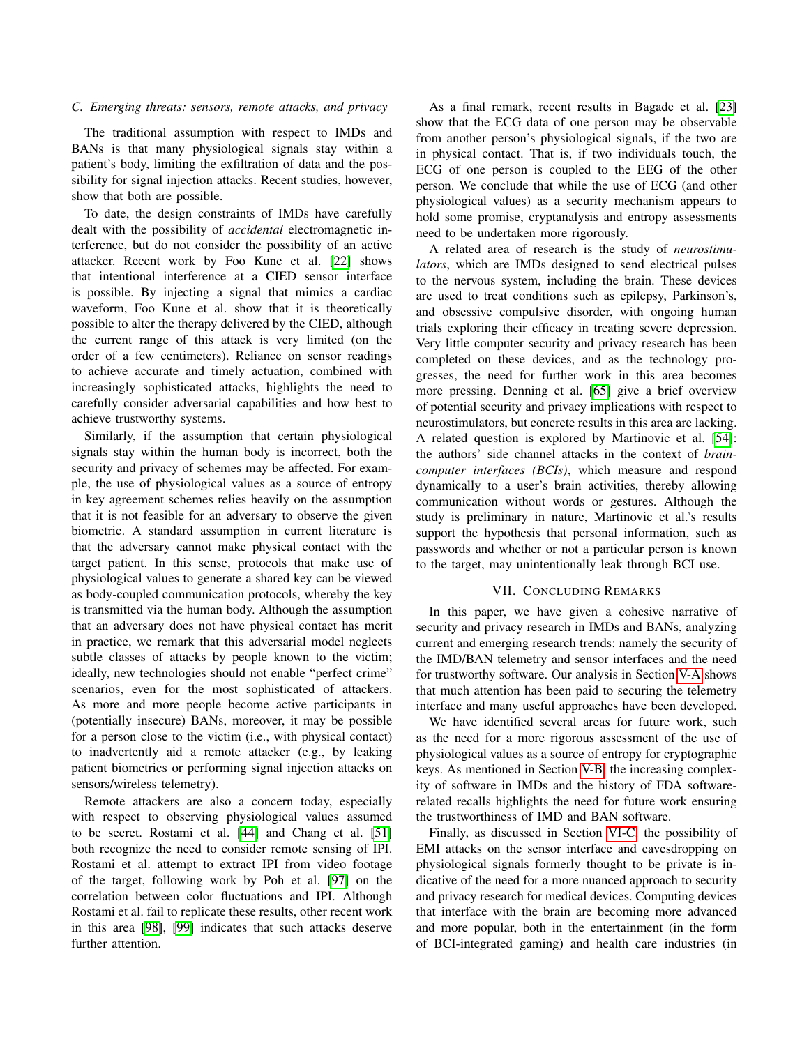### <span id="page-10-1"></span>*C. Emerging threats: sensors, remote attacks, and privacy*

The traditional assumption with respect to IMDs and BANs is that many physiological signals stay within a patient's body, limiting the exfiltration of data and the possibility for signal injection attacks. Recent studies, however, show that both are possible.

To date, the design constraints of IMDs have carefully dealt with the possibility of *accidental* electromagnetic interference, but do not consider the possibility of an active attacker. Recent work by Foo Kune et al. [\[22\]](#page-11-21) shows that intentional interference at a CIED sensor interface is possible. By injecting a signal that mimics a cardiac waveform, Foo Kune et al. show that it is theoretically possible to alter the therapy delivered by the CIED, although the current range of this attack is very limited (on the order of a few centimeters). Reliance on sensor readings to achieve accurate and timely actuation, combined with increasingly sophisticated attacks, highlights the need to carefully consider adversarial capabilities and how best to achieve trustworthy systems.

Similarly, if the assumption that certain physiological signals stay within the human body is incorrect, both the security and privacy of schemes may be affected. For example, the use of physiological values as a source of entropy in key agreement schemes relies heavily on the assumption that it is not feasible for an adversary to observe the given biometric. A standard assumption in current literature is that the adversary cannot make physical contact with the target patient. In this sense, protocols that make use of physiological values to generate a shared key can be viewed as body-coupled communication protocols, whereby the key is transmitted via the human body. Although the assumption that an adversary does not have physical contact has merit in practice, we remark that this adversarial model neglects subtle classes of attacks by people known to the victim; ideally, new technologies should not enable "perfect crime" scenarios, even for the most sophisticated of attackers. As more and more people become active participants in (potentially insecure) BANs, moreover, it may be possible for a person close to the victim (i.e., with physical contact) to inadvertently aid a remote attacker (e.g., by leaking patient biometrics or performing signal injection attacks on sensors/wireless telemetry).

Remote attackers are also a concern today, especially with respect to observing physiological values assumed to be secret. Rostami et al. [\[44\]](#page-12-20) and Chang et al. [\[51\]](#page-13-10) both recognize the need to consider remote sensing of IPI. Rostami et al. attempt to extract IPI from video footage of the target, following work by Poh et al. [\[97\]](#page-14-22) on the correlation between color fluctuations and IPI. Although Rostami et al. fail to replicate these results, other recent work in this area [\[98\]](#page-14-23), [\[99\]](#page-14-24) indicates that such attacks deserve further attention.

As a final remark, recent results in Bagade et al. [\[23\]](#page-12-0) show that the ECG data of one person may be observable from another person's physiological signals, if the two are in physical contact. That is, if two individuals touch, the ECG of one person is coupled to the EEG of the other person. We conclude that while the use of ECG (and other physiological values) as a security mechanism appears to hold some promise, cryptanalysis and entropy assessments need to be undertaken more rigorously.

A related area of research is the study of *neurostimulators*, which are IMDs designed to send electrical pulses to the nervous system, including the brain. These devices are used to treat conditions such as epilepsy, Parkinson's, and obsessive compulsive disorder, with ongoing human trials exploring their efficacy in treating severe depression. Very little computer security and privacy research has been completed on these devices, and as the technology progresses, the need for further work in this area becomes more pressing. Denning et al. [\[65\]](#page-13-20) give a brief overview of potential security and privacy implications with respect to neurostimulators, but concrete results in this area are lacking. A related question is explored by Martinovic et al. [\[54\]](#page-13-15): the authors' side channel attacks in the context of *braincomputer interfaces (BCIs)*, which measure and respond dynamically to a user's brain activities, thereby allowing communication without words or gestures. Although the study is preliminary in nature, Martinovic et al.'s results support the hypothesis that personal information, such as passwords and whether or not a particular person is known to the target, may unintentionally leak through BCI use.

### VII. CONCLUDING REMARKS

<span id="page-10-0"></span>In this paper, we have given a cohesive narrative of security and privacy research in IMDs and BANs, analyzing current and emerging research trends: namely the security of the IMD/BAN telemetry and sensor interfaces and the need for trustworthy software. Our analysis in Section [V-A](#page-4-2) shows that much attention has been paid to securing the telemetry interface and many useful approaches have been developed.

We have identified several areas for future work, such as the need for a more rigorous assessment of the use of physiological values as a source of entropy for cryptographic keys. As mentioned in Section [V-B,](#page-8-1) the increasing complexity of software in IMDs and the history of FDA softwarerelated recalls highlights the need for future work ensuring the trustworthiness of IMD and BAN software.

Finally, as discussed in Section [VI-C,](#page-10-1) the possibility of EMI attacks on the sensor interface and eavesdropping on physiological signals formerly thought to be private is indicative of the need for a more nuanced approach to security and privacy research for medical devices. Computing devices that interface with the brain are becoming more advanced and more popular, both in the entertainment (in the form of BCI-integrated gaming) and health care industries (in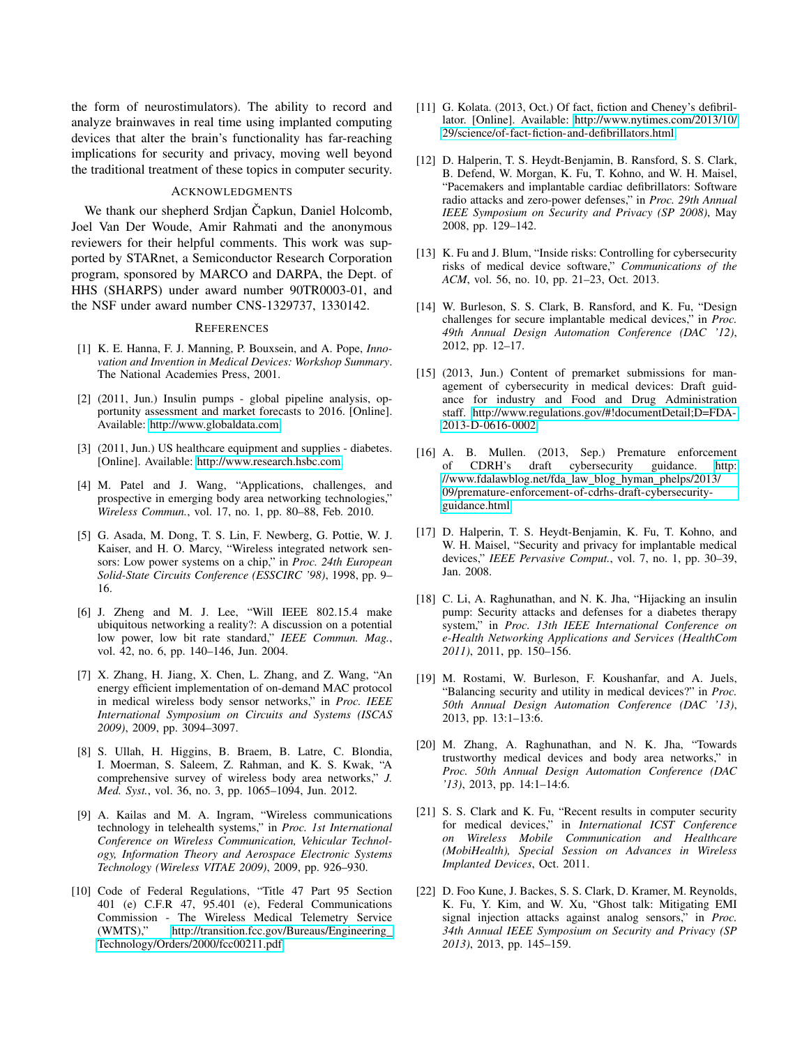the form of neurostimulators). The ability to record and analyze brainwaves in real time using implanted computing devices that alter the brain's functionality has far-reaching implications for security and privacy, moving well beyond the traditional treatment of these topics in computer security.

### ACKNOWLEDGMENTS

We thank our shepherd Srdjan Čapkun, Daniel Holcomb, Joel Van Der Woude, Amir Rahmati and the anonymous reviewers for their helpful comments. This work was supported by STARnet, a Semiconductor Research Corporation program, sponsored by MARCO and DARPA, the Dept. of HHS (SHARPS) under award number 90TR0003-01, and the NSF under award number CNS-1329737, 1330142.

#### **REFERENCES**

- <span id="page-11-0"></span>[1] K. E. Hanna, F. J. Manning, P. Bouxsein, and A. Pope, *Innovation and Invention in Medical Devices: Workshop Summary*. The National Academies Press, 2001.
- <span id="page-11-1"></span>[2] (2011, Jun.) Insulin pumps - global pipeline analysis, opportunity assessment and market forecasts to 2016. [Online]. Available: [http://www.globaldata.com.](http://www.globaldata.com)
- <span id="page-11-2"></span>[3] (2011, Jun.) US healthcare equipment and supplies - diabetes. [Online]. Available: [http://www.research.hsbc.com.](http://www.research.hsbc.com)
- <span id="page-11-3"></span>[4] M. Patel and J. Wang, "Applications, challenges, and prospective in emerging body area networking technologies," *Wireless Commun.*, vol. 17, no. 1, pp. 80–88, Feb. 2010.
- <span id="page-11-4"></span>[5] G. Asada, M. Dong, T. S. Lin, F. Newberg, G. Pottie, W. J. Kaiser, and H. O. Marcy, "Wireless integrated network sensors: Low power systems on a chip," in *Proc. 24th European Solid-State Circuits Conference (ESSCIRC '98)*, 1998, pp. 9– 16.
- <span id="page-11-5"></span>[6] J. Zheng and M. J. Lee, "Will IEEE 802.15.4 make ubiquitous networking a reality?: A discussion on a potential low power, low bit rate standard," *IEEE Commun. Mag.*, vol. 42, no. 6, pp. 140–146, Jun. 2004.
- <span id="page-11-6"></span>[7] X. Zhang, H. Jiang, X. Chen, L. Zhang, and Z. Wang, "An energy efficient implementation of on-demand MAC protocol in medical wireless body sensor networks," in *Proc. IEEE International Symposium on Circuits and Systems (ISCAS 2009)*, 2009, pp. 3094–3097.
- <span id="page-11-19"></span>[8] S. Ullah, H. Higgins, B. Braem, B. Latre, C. Blondia, I. Moerman, S. Saleem, Z. Rahman, and K. S. Kwak, "A comprehensive survey of wireless body area networks," *J. Med. Syst.*, vol. 36, no. 3, pp. 1065–1094, Jun. 2012.
- <span id="page-11-7"></span>[9] A. Kailas and M. A. Ingram, "Wireless communications technology in telehealth systems," in *Proc. 1st International Conference on Wireless Communication, Vehicular Technology, Information Theory and Aerospace Electronic Systems Technology (Wireless VITAE 2009)*, 2009, pp. 926–930.
- <span id="page-11-8"></span>[10] Code of Federal Regulations, "Title 47 Part 95 Section 401 (e) C.F.R 47, 95.401 (e), Federal Communications Commission - The Wireless Medical Telemetry Service http://transition.fcc.gov/Bureaus/Engineering [Technology/Orders/2000/fcc00211.pdf.](http://transition.fcc.gov/Bureaus/Engineering_Technology/Orders/2000/fcc00211.pdf)
- <span id="page-11-9"></span>[11] G. Kolata. (2013, Oct.) Of fact, fiction and Cheney's defibrillator. [Online]. Available: [http://www.nytimes.com/2013/10/](http://www.nytimes.com/2013/10/29/science/of-fact-fiction-and-defibrillators.html) [29/science/of-fact-fiction-and-defibrillators.html.](http://www.nytimes.com/2013/10/29/science/of-fact-fiction-and-defibrillators.html)
- <span id="page-11-10"></span>[12] D. Halperin, T. S. Heydt-Benjamin, B. Ransford, S. S. Clark, B. Defend, W. Morgan, K. Fu, T. Kohno, and W. H. Maisel, "Pacemakers and implantable cardiac defibrillators: Software radio attacks and zero-power defenses," in *Proc. 29th Annual IEEE Symposium on Security and Privacy (SP 2008)*, May 2008, pp. 129–142.
- <span id="page-11-11"></span>[13] K. Fu and J. Blum, "Inside risks: Controlling for cybersecurity risks of medical device software," *Communications of the ACM*, vol. 56, no. 10, pp. 21–23, Oct. 2013.
- <span id="page-11-12"></span>[14] W. Burleson, S. S. Clark, B. Ransford, and K. Fu, "Design challenges for secure implantable medical devices," in *Proc. 49th Annual Design Automation Conference (DAC '12)*, 2012, pp. 12–17.
- <span id="page-11-13"></span>[15] (2013, Jun.) Content of premarket submissions for management of cybersecurity in medical devices: Draft guidance for industry and Food and Drug Administration staff. [http://www.regulations.gov/#!documentDetail;D=FDA-](http://www.regulations.gov/#!documentDetail;D=FDA-2013-D-0616-0002)[2013-D-0616-0002.](http://www.regulations.gov/#!documentDetail;D=FDA-2013-D-0616-0002)
- <span id="page-11-14"></span>[16] A. B. Mullen. (2013, Sep.) Premature enforcement of CDRH's draft cybersecurity guidance. [http:](http://www.fdalawblog.net/fda_law_blog_hyman_phelps/2013/09/premature-enforcement-of-cdrhs-draft-cybersecurity-guidance.html) [//www.fdalawblog.net/fda](http://www.fdalawblog.net/fda_law_blog_hyman_phelps/2013/09/premature-enforcement-of-cdrhs-draft-cybersecurity-guidance.html) law blog hyman phelps/2013/ [09/premature-enforcement-of-cdrhs-draft-cybersecurity](http://www.fdalawblog.net/fda_law_blog_hyman_phelps/2013/09/premature-enforcement-of-cdrhs-draft-cybersecurity-guidance.html)[guidance.html.](http://www.fdalawblog.net/fda_law_blog_hyman_phelps/2013/09/premature-enforcement-of-cdrhs-draft-cybersecurity-guidance.html)
- <span id="page-11-15"></span>[17] D. Halperin, T. S. Heydt-Benjamin, K. Fu, T. Kohno, and W. H. Maisel, "Security and privacy for implantable medical devices," *IEEE Pervasive Comput.*, vol. 7, no. 1, pp. 30–39, Jan. 2008.
- <span id="page-11-16"></span>[18] C. Li, A. Raghunathan, and N. K. Jha, "Hijacking an insulin pump: Security attacks and defenses for a diabetes therapy system," in *Proc. 13th IEEE International Conference on e-Health Networking Applications and Services (HealthCom 2011)*, 2011, pp. 150–156.
- <span id="page-11-17"></span>[19] M. Rostami, W. Burleson, F. Koushanfar, and A. Juels, "Balancing security and utility in medical devices?" in *Proc. 50th Annual Design Automation Conference (DAC '13)*, 2013, pp. 13:1–13:6.
- <span id="page-11-18"></span>[20] M. Zhang, A. Raghunathan, and N. K. Jha, "Towards trustworthy medical devices and body area networks," in *Proc. 50th Annual Design Automation Conference (DAC '13)*, 2013, pp. 14:1–14:6.
- <span id="page-11-20"></span>[21] S. S. Clark and K. Fu, "Recent results in computer security for medical devices," in *International ICST Conference on Wireless Mobile Communication and Healthcare (MobiHealth), Special Session on Advances in Wireless Implanted Devices*, Oct. 2011.
- <span id="page-11-21"></span>[22] D. Foo Kune, J. Backes, S. S. Clark, D. Kramer, M. Reynolds, K. Fu, Y. Kim, and W. Xu, "Ghost talk: Mitigating EMI signal injection attacks against analog sensors," in *Proc. 34th Annual IEEE Symposium on Security and Privacy (SP 2013)*, 2013, pp. 145–159.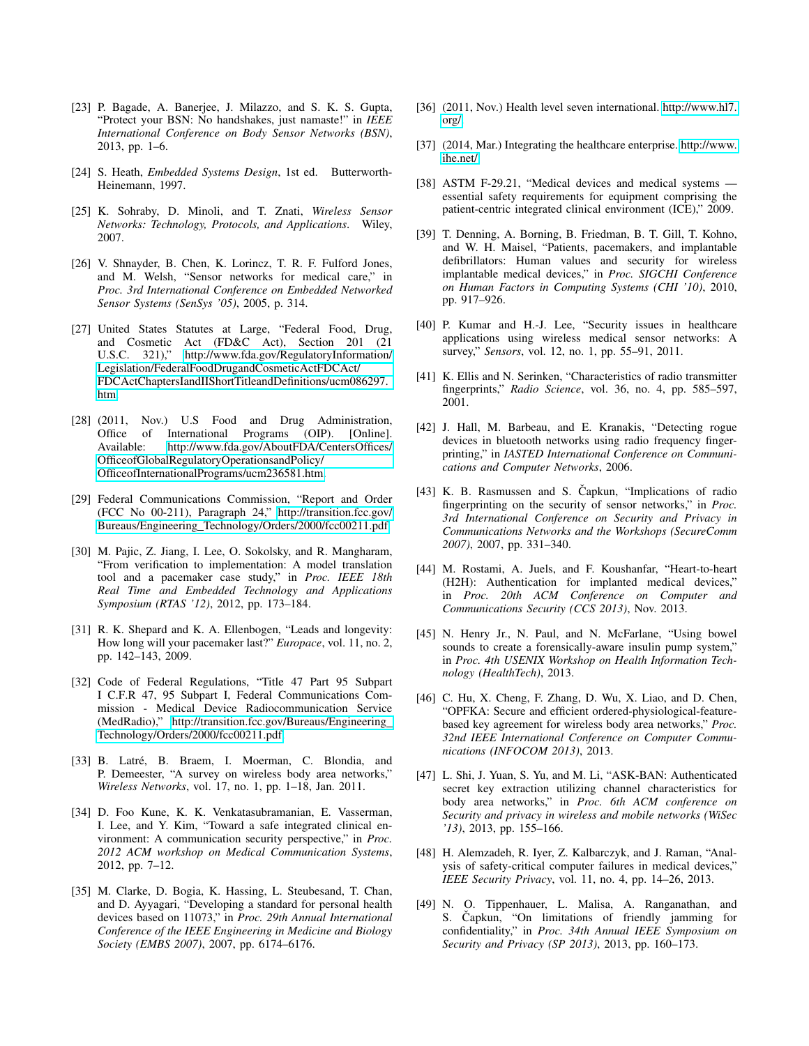- <span id="page-12-0"></span>[23] P. Bagade, A. Banerjee, J. Milazzo, and S. K. S. Gupta, "Protect your BSN: No handshakes, just namaste!" in *IEEE International Conference on Body Sensor Networks (BSN)*, 2013, pp. 1–6.
- <span id="page-12-1"></span>[24] S. Heath, *Embedded Systems Design*, 1st ed. Butterworth-Heinemann, 1997.
- <span id="page-12-2"></span>[25] K. Sohraby, D. Minoli, and T. Znati, *Wireless Sensor Networks: Technology, Protocols, and Applications*. Wiley, 2007.
- <span id="page-12-3"></span>[26] V. Shnayder, B. Chen, K. Lorincz, T. R. F. Fulford Jones, and M. Welsh, "Sensor networks for medical care," in *Proc. 3rd International Conference on Embedded Networked Sensor Systems (SenSys '05)*, 2005, p. 314.
- <span id="page-12-4"></span>[27] United States Statutes at Large, "Federal Food, Drug, and Cosmetic Act (FD&C Act), Section 201 (21 U.S.C. 321)," http://www.fda.gov/RegulatoryInformation/ http://www.fda.gov/RegulatoryInformation/ [Legislation/FederalFoodDrugandCosmeticActFDCAct/](http://www.fda.gov/RegulatoryInformation/Legislation/FederalFoodDrugandCosmeticActFDCAct/FDCActChaptersIandIIShortTitleandDefinitions/ucm086297.htm) [FDCActChaptersIandIIShortTitleandDefinitions/ucm086297.](http://www.fda.gov/RegulatoryInformation/Legislation/FederalFoodDrugandCosmeticActFDCAct/FDCActChaptersIandIIShortTitleandDefinitions/ucm086297.htm) [htm.](http://www.fda.gov/RegulatoryInformation/Legislation/FederalFoodDrugandCosmeticActFDCAct/FDCActChaptersIandIIShortTitleandDefinitions/ucm086297.htm)
- <span id="page-12-5"></span>[28] (2011, Nov.) U.S Food and Drug Administration, Office of International Programs (OIP). [Online]. Available: [http://www.fda.gov/AboutFDA/CentersOffices/](http://www.fda.gov/AboutFDA/CentersOffices/OfficeofGlobalRegulatoryOperationsandPolicy/OfficeofInternationalPrograms/ucm236581.htm) [OfficeofGlobalRegulatoryOperationsandPolicy/](http://www.fda.gov/AboutFDA/CentersOffices/OfficeofGlobalRegulatoryOperationsandPolicy/OfficeofInternationalPrograms/ucm236581.htm) [OfficeofInternationalPrograms/ucm236581.htm.](http://www.fda.gov/AboutFDA/CentersOffices/OfficeofGlobalRegulatoryOperationsandPolicy/OfficeofInternationalPrograms/ucm236581.htm)
- <span id="page-12-6"></span>[29] Federal Communications Commission, "Report and Order (FCC No 00-211), Paragraph 24," [http://transition.fcc.gov/](http://transition.fcc.gov/Bureaus/Engineering_Technology/Orders/2000/fcc00211.pdf) Bureaus/Engineering [Technology/Orders/2000/fcc00211.pdf.](http://transition.fcc.gov/Bureaus/Engineering_Technology/Orders/2000/fcc00211.pdf)
- <span id="page-12-7"></span>[30] M. Pajic, Z. Jiang, I. Lee, O. Sokolsky, and R. Mangharam, "From verification to implementation: A model translation tool and a pacemaker case study," in *Proc. IEEE 18th Real Time and Embedded Technology and Applications Symposium (RTAS '12)*, 2012, pp. 173–184.
- <span id="page-12-8"></span>[31] R. K. Shepard and K. A. Ellenbogen, "Leads and longevity: How long will your pacemaker last?" *Europace*, vol. 11, no. 2, pp. 142–143, 2009.
- <span id="page-12-9"></span>[32] Code of Federal Regulations, "Title 47 Part 95 Subpart I C.F.R 47, 95 Subpart I, Federal Communications Commission - Medical Device Radiocommunication Service (MedRadio)," [http://transition.fcc.gov/Bureaus/Engineering](http://transition.fcc.gov/Bureaus/Engineering_Technology/Orders/2000/fcc00211.pdf) [Technology/Orders/2000/fcc00211.pdf.](http://transition.fcc.gov/Bureaus/Engineering_Technology/Orders/2000/fcc00211.pdf)
- <span id="page-12-10"></span>[33] B. Latré, B. Braem, I. Moerman, C. Blondia, and P. Demeester, "A survey on wireless body area networks," *Wireless Networks*, vol. 17, no. 1, pp. 1–18, Jan. 2011.
- <span id="page-12-11"></span>[34] D. Foo Kune, K. K. Venkatasubramanian, E. Vasserman, I. Lee, and Y. Kim, "Toward a safe integrated clinical environment: A communication security perspective," in *Proc. 2012 ACM workshop on Medical Communication Systems*, 2012, pp. 7–12.
- <span id="page-12-12"></span>[35] M. Clarke, D. Bogia, K. Hassing, L. Steubesand, T. Chan, and D. Ayyagari, "Developing a standard for personal health devices based on 11073," in *Proc. 29th Annual International Conference of the IEEE Engineering in Medicine and Biology Society (EMBS 2007)*, 2007, pp. 6174–6176.
- <span id="page-12-13"></span>[36] (2011, Nov.) Health level seven international. [http://www.hl7.](http://www.hl7.org/) [org/.](http://www.hl7.org/)
- <span id="page-12-14"></span>[37] (2014, Mar.) Integrating the healthcare enterprise. [http://www.](http://www.ihe.net/) [ihe.net/.](http://www.ihe.net/)
- <span id="page-12-15"></span>[38] ASTM F-29.21, "Medical devices and medical systems essential safety requirements for equipment comprising the patient-centric integrated clinical environment (ICE)," 2009.
- <span id="page-12-16"></span>[39] T. Denning, A. Borning, B. Friedman, B. T. Gill, T. Kohno, and W. H. Maisel, "Patients, pacemakers, and implantable defibrillators: Human values and security for wireless implantable medical devices," in *Proc. SIGCHI Conference on Human Factors in Computing Systems (CHI '10)*, 2010, pp. 917–926.
- <span id="page-12-17"></span>[40] P. Kumar and H.-J. Lee, "Security issues in healthcare applications using wireless medical sensor networks: A survey," *Sensors*, vol. 12, no. 1, pp. 55–91, 2011.
- <span id="page-12-18"></span>[41] K. Ellis and N. Serinken, "Characteristics of radio transmitter fingerprints," *Radio Science*, vol. 36, no. 4, pp. 585–597, 2001.
- [42] J. Hall, M. Barbeau, and E. Kranakis, "Detecting rogue devices in bluetooth networks using radio frequency fingerprinting," in *IASTED International Conference on Communications and Computer Networks*, 2006.
- <span id="page-12-19"></span>[43] K. B. Rasmussen and S. Capkun, "Implications of radio fingerprinting on the security of sensor networks," in *Proc. 3rd International Conference on Security and Privacy in Communications Networks and the Workshops (SecureComm 2007)*, 2007, pp. 331–340.
- <span id="page-12-20"></span>[44] M. Rostami, A. Juels, and F. Koushanfar, "Heart-to-heart (H2H): Authentication for implanted medical devices," in *Proc. 20th ACM Conference on Computer and Communications Security (CCS 2013)*, Nov. 2013.
- <span id="page-12-23"></span>[45] N. Henry Jr., N. Paul, and N. McFarlane, "Using bowel sounds to create a forensically-aware insulin pump system," in *Proc. 4th USENIX Workshop on Health Information Technology (HealthTech)*, 2013.
- <span id="page-12-21"></span>[46] C. Hu, X. Cheng, F. Zhang, D. Wu, X. Liao, and D. Chen, "OPFKA: Secure and efficient ordered-physiological-featurebased key agreement for wireless body area networks," *Proc. 32nd IEEE International Conference on Computer Communications (INFOCOM 2013)*, 2013.
- <span id="page-12-22"></span>[47] L. Shi, J. Yuan, S. Yu, and M. Li, "ASK-BAN: Authenticated secret key extraction utilizing channel characteristics for body area networks," in *Proc. 6th ACM conference on Security and privacy in wireless and mobile networks (WiSec '13)*, 2013, pp. 155–166.
- <span id="page-12-24"></span>[48] H. Alemzadeh, R. Iyer, Z. Kalbarczyk, and J. Raman, "Analysis of safety-critical computer failures in medical devices," *IEEE Security Privacy*, vol. 11, no. 4, pp. 14–26, 2013.
- <span id="page-12-25"></span>[49] N. O. Tippenhauer, L. Malisa, A. Ranganathan, and S. Čapkun, "On limitations of friendly jamming for confidentiality," in *Proc. 34th Annual IEEE Symposium on Security and Privacy (SP 2013)*, 2013, pp. 160–173.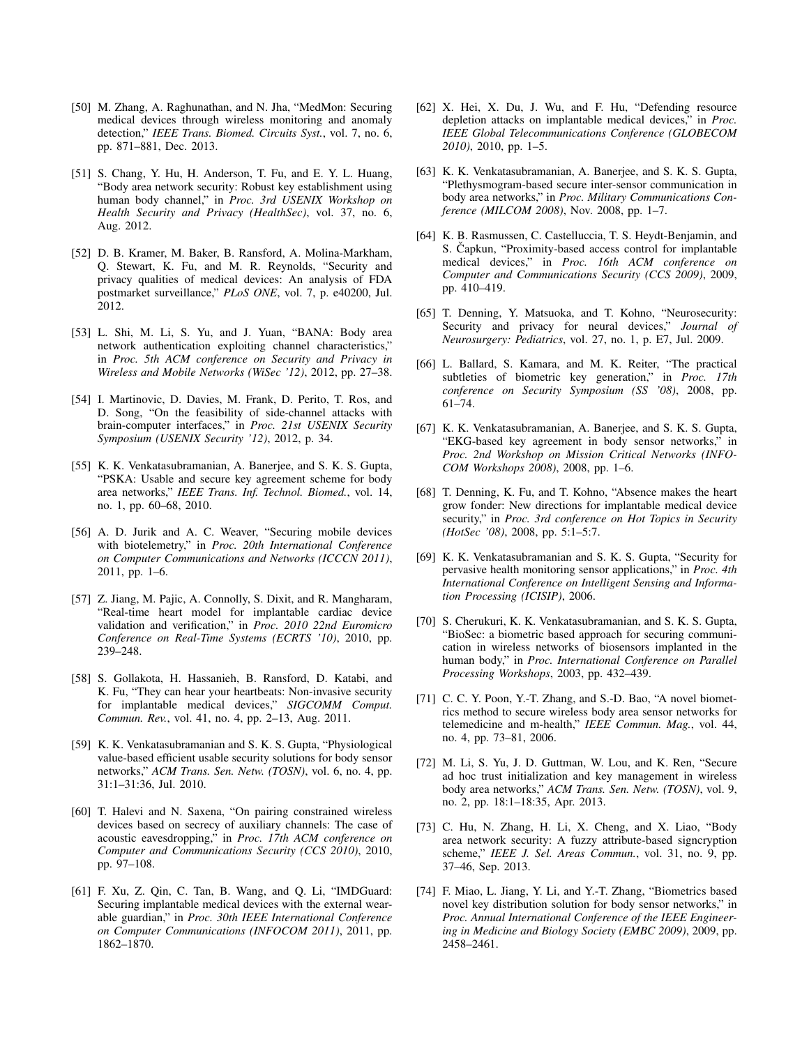- <span id="page-13-13"></span>[50] M. Zhang, A. Raghunathan, and N. Jha, "MedMon: Securing medical devices through wireless monitoring and anomaly detection," *IEEE Trans. Biomed. Circuits Syst.*, vol. 7, no. 6, pp. 871–881, Dec. 2013.
- <span id="page-13-10"></span>[51] S. Chang, Y. Hu, H. Anderson, T. Fu, and E. Y. L. Huang, "Body area network security: Robust key establishment using human body channel," in *Proc. 3rd USENIX Workshop on Health Security and Privacy (HealthSec)*, vol. 37, no. 6, Aug. 2012.
- <span id="page-13-14"></span>[52] D. B. Kramer, M. Baker, B. Ransford, A. Molina-Markham, Q. Stewart, K. Fu, and M. R. Reynolds, "Security and privacy qualities of medical devices: An analysis of FDA postmarket surveillance," *PLoS ONE*, vol. 7, p. e40200, Jul. 2012.
- <span id="page-13-11"></span>[53] L. Shi, M. Li, S. Yu, and J. Yuan, "BANA: Body area network authentication exploiting channel characteristics," in *Proc. 5th ACM conference on Security and Privacy in Wireless and Mobile Networks (WiSec '12)*, 2012, pp. 27–38.
- <span id="page-13-15"></span>[54] I. Martinovic, D. Davies, M. Frank, D. Perito, T. Ros, and D. Song, "On the feasibility of side-channel attacks with brain-computer interfaces," in *Proc. 21st USENIX Security Symposium (USENIX Security '12)*, 2012, p. 34.
- <span id="page-13-0"></span>[55] K. K. Venkatasubramanian, A. Banerjee, and S. K. S. Gupta, "PSKA: Usable and secure key agreement scheme for body area networks," *IEEE Trans. Inf. Technol. Biomed.*, vol. 14, no. 1, pp. 60–68, 2010.
- <span id="page-13-1"></span>[56] A. D. Jurik and A. C. Weaver, "Securing mobile devices with biotelemetry," in *Proc. 20th International Conference on Computer Communications and Networks (ICCCN 2011)*, 2011, pp. 1–6.
- <span id="page-13-16"></span>[57] Z. Jiang, M. Pajic, A. Connolly, S. Dixit, and R. Mangharam, "Real-time heart model for implantable cardiac device validation and verification," in *Proc. 2010 22nd Euromicro Conference on Real-Time Systems (ECRTS '10)*, 2010, pp. 239–248.
- <span id="page-13-17"></span>[58] S. Gollakota, H. Hassanieh, B. Ransford, D. Katabi, and K. Fu, "They can hear your heartbeats: Non-invasive security for implantable medical devices," *SIGCOMM Comput. Commun. Rev.*, vol. 41, no. 4, pp. 2–13, Aug. 2011.
- <span id="page-13-2"></span>[59] K. K. Venkatasubramanian and S. K. S. Gupta, "Physiological value-based efficient usable security solutions for body sensor networks," *ACM Trans. Sen. Netw. (TOSN)*, vol. 6, no. 4, pp. 31:1–31:36, Jul. 2010.
- <span id="page-13-18"></span>[60] T. Halevi and N. Saxena, "On pairing constrained wireless devices based on secrecy of auxiliary channels: The case of acoustic eavesdropping," in *Proc. 17th ACM conference on Computer and Communications Security (CCS 2010)*, 2010, pp. 97–108.
- <span id="page-13-9"></span>[61] F. Xu, Z. Qin, C. Tan, B. Wang, and Q. Li, "IMDGuard: Securing implantable medical devices with the external wearable guardian," in *Proc. 30th IEEE International Conference on Computer Communications (INFOCOM 2011)*, 2011, pp. 1862–1870.
- <span id="page-13-19"></span>[62] X. Hei, X. Du, J. Wu, and F. Hu, "Defending resource depletion attacks on implantable medical devices," in *Proc. IEEE Global Telecommunications Conference (GLOBECOM 2010)*, 2010, pp. 1–5.
- <span id="page-13-3"></span>[63] K. K. Venkatasubramanian, A. Banerjee, and S. K. S. Gupta, "Plethysmogram-based secure inter-sensor communication in body area networks," in *Proc. Military Communications Conference (MILCOM 2008)*, Nov. 2008, pp. 1–7.
- <span id="page-13-12"></span>[64] K. B. Rasmussen, C. Castelluccia, T. S. Heydt-Benjamin, and S. Capkun, "Proximity-based access control for implantable medical devices," in *Proc. 16th ACM conference on Computer and Communications Security (CCS 2009)*, 2009, pp. 410–419.
- <span id="page-13-20"></span>[65] T. Denning, Y. Matsuoka, and T. Kohno, "Neurosecurity: Security and privacy for neural devices," *Journal of Neurosurgery: Pediatrics*, vol. 27, no. 1, p. E7, Jul. 2009.
- <span id="page-13-21"></span>[66] L. Ballard, S. Kamara, and M. K. Reiter, "The practical subtleties of biometric key generation," in *Proc. 17th conference on Security Symposium (SS '08)*, 2008, pp. 61–74.
- <span id="page-13-4"></span>[67] K. K. Venkatasubramanian, A. Banerjee, and S. K. S. Gupta, "EKG-based key agreement in body sensor networks," in *Proc. 2nd Workshop on Mission Critical Networks (INFO-COM Workshops 2008)*, 2008, pp. 1–6.
- <span id="page-13-22"></span>[68] T. Denning, K. Fu, and T. Kohno, "Absence makes the heart grow fonder: New directions for implantable medical device security," in *Proc. 3rd conference on Hot Topics in Security (HotSec '08)*, 2008, pp. 5:1–5:7.
- <span id="page-13-5"></span>[69] K. K. Venkatasubramanian and S. K. S. Gupta, "Security for pervasive health monitoring sensor applications," in *Proc. 4th International Conference on Intelligent Sensing and Information Processing (ICISIP)*, 2006.
- <span id="page-13-8"></span>[70] S. Cherukuri, K. K. Venkatasubramanian, and S. K. S. Gupta, "BioSec: a biometric based approach for securing communication in wireless networks of biosensors implanted in the human body," in *Proc. International Conference on Parallel Processing Workshops*, 2003, pp. 432–439.
- <span id="page-13-6"></span>[71] C. C. Y. Poon, Y.-T. Zhang, and S.-D. Bao, "A novel biometrics method to secure wireless body area sensor networks for telemedicine and m-health," *IEEE Commun. Mag.*, vol. 44, no. 4, pp. 73–81, 2006.
- <span id="page-13-23"></span>[72] M. Li, S. Yu, J. D. Guttman, W. Lou, and K. Ren, "Secure ad hoc trust initialization and key management in wireless body area networks," *ACM Trans. Sen. Netw. (TOSN)*, vol. 9, no. 2, pp. 18:1–18:35, Apr. 2013.
- <span id="page-13-7"></span>[73] C. Hu, N. Zhang, H. Li, X. Cheng, and X. Liao, "Body area network security: A fuzzy attribute-based signcryption scheme," *IEEE J. Sel. Areas Commun.*, vol. 31, no. 9, pp. 37–46, Sep. 2013.
- <span id="page-13-24"></span>[74] F. Miao, L. Jiang, Y. Li, and Y.-T. Zhang, "Biometrics based novel key distribution solution for body sensor networks," in *Proc. Annual International Conference of the IEEE Engineering in Medicine and Biology Society (EMBC 2009)*, 2009, pp. 2458–2461.